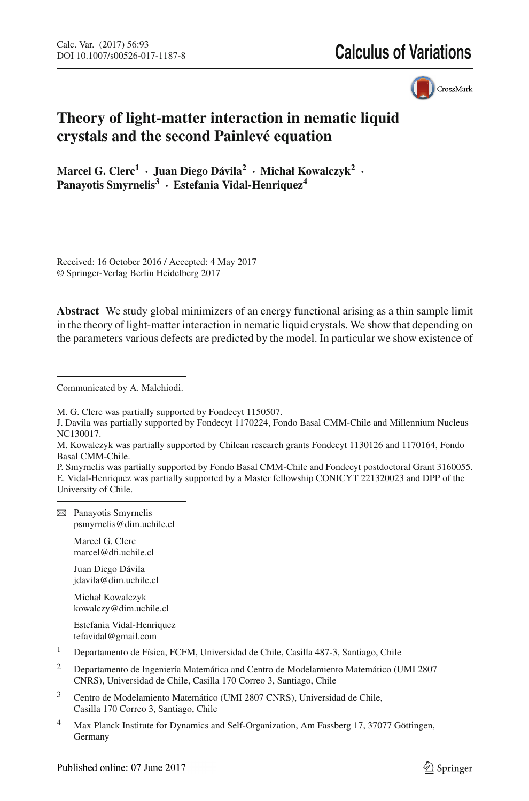# **Calculus of Variations**



# **Theory of light-matter interaction in nematic liquid crystals and the second Painlevé equation**

**Marcel G. Clerc<sup>1</sup> · Juan Diego Dávila<sup>2</sup> · Michał Kowalczyk2 · Panayotis Smyrnelis<sup>3</sup> · Estefania Vidal-Henriquez4**

Received: 16 October 2016 / Accepted: 4 May 2017 © Springer-Verlag Berlin Heidelberg 2017

**Abstract** We study global minimizers of an energy functional arising as a thin sample limit in the theory of light-matter interaction in nematic liquid crystals. We show that depending on the parameters various defects are predicted by the model. In particular we show existence of

Communicated by A. Malchiodi.

P. Smyrnelis was partially supported by Fondo Basal CMM-Chile and Fondecyt postdoctoral Grant 3160055. E. Vidal-Henriquez was partially supported by a Master fellowship CONICYT 221320023 and DPP of the University of Chile.

 $\boxtimes$  Panayotis Smyrnelis psmyrnelis@dim.uchile.cl

> Marcel G. Clerc marcel@dfi.uchile.cl

Juan Diego Dávila jdavila@dim.uchile.cl

Michał Kowalczyk kowalczy@dim.uchile.cl

Estefania Vidal-Henriquez tefavidal@gmail.com

- <sup>1</sup> Departamento de Física, FCFM, Universidad de Chile, Casilla 487-3, Santiago, Chile
- <sup>2</sup> Departamento de Ingeniería Matemática and Centro de Modelamiento Matemático (UMI 2807 CNRS), Universidad de Chile, Casilla 170 Correo 3, Santiago, Chile
- <sup>3</sup> Centro de Modelamiento Matemático (UMI 2807 CNRS), Universidad de Chile, Casilla 170 Correo 3, Santiago, Chile
- <sup>4</sup> Max Planck Institute for Dynamics and Self-Organization, Am Fassberg 17, 37077 Göttingen, Germany

M. G. Clerc was partially supported by Fondecyt 1150507.

J. Davila was partially supported by Fondecyt 1170224, Fondo Basal CMM-Chile and Millennium Nucleus NC130017.

M. Kowalczyk was partially supported by Chilean research grants Fondecyt 1130126 and 1170164, Fondo Basal CMM-Chile.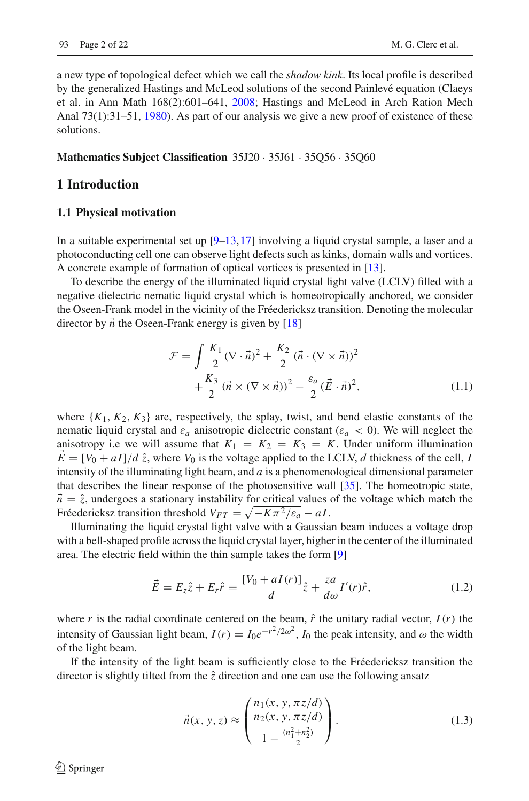a new type of topological defect which we call the *shadow kink*. Its local profile is described by the generalized Hastings and McLeod solutions of the second Painlevé equation (Claeys et al. in Ann Math 168(2):601–641, [2008;](#page-21-0) Hastings and McLeod in Arch Ration Mech Anal 73(1):31–51, [1980\)](#page-21-1). As part of our analysis we give a new proof of existence of these solutions.

#### **Mathematics Subject Classification** 35J20 · 35J61 · 35Q56 · 35Q60

## **1 Introduction**

#### **1.1 Physical motivation**

In a suitable experimental set up  $[9-13,17]$  $[9-13,17]$  $[9-13,17]$  involving a liquid crystal sample, a laser and a photoconducting cell one can observe light defects such as kinks, domain walls and vortices. A concrete example of formation of optical vortices is presented in [\[13](#page-21-2)].

To describe the energy of the illuminated liquid crystal light valve (LCLV) filled with a negative dielectric nematic liquid crystal which is homeotropically anchored, we consider the Oseen-Frank model in the vicinity of the Fréedericksz transition. Denoting the molecular director by  $\vec{n}$  the Oseen-Frank energy is given by [\[18\]](#page-21-4)

<span id="page-1-0"></span>
$$
\mathcal{F} = \int \frac{K_1}{2} (\nabla \cdot \vec{n})^2 + \frac{K_2}{2} (\vec{n} \cdot (\nabla \times \vec{n}))^2 + \frac{K_3}{2} (\vec{n} \times (\nabla \times \vec{n}))^2 - \frac{\varepsilon_a}{2} (\vec{E} \cdot \vec{n})^2, \tag{1.1}
$$

where  $\{K_1, K_2, K_3\}$  are, respectively, the splay, twist, and bend elastic constants of the nematic liquid crystal and  $\varepsilon_a$  anisotropic dielectric constant ( $\varepsilon_a$  < 0). We will neglect the anisotropy i.e we will assume that  $K_1 = K_2 = K_3 = K$ . Under uniform illumination  $E = [V_0 + aI]/d\hat{z}$ , where  $V_0$  is the voltage applied to the LCLV, *d* thickness of the cell, *I* intensity of the illuminating light beam, and *a* is a phenomenological dimensional parameter that describes the linear response of the photosensitive wall [\[35](#page-21-5)]. The homeotropic state,  $\vec{n} = \hat{z}$ , undergoes a stationary instability for critical values of the voltage which match the Fréedericksz transition threshold  $V_{FT} = \sqrt{-K\pi^2/\varepsilon_a - aI}$ .

Illuminating the liquid crystal light valve with a Gaussian beam induces a voltage drop with a bell-shaped profile across the liquid crystal layer, higher in the center of the illuminated area. The electric field within the thin sample takes the form [\[9](#page-20-0)]

$$
\vec{E} = E_z \hat{z} + E_r \hat{r} \equiv \frac{[V_0 + aI(r)]}{d} \hat{z} + \frac{za}{d\omega} I'(r) \hat{r}, \qquad (1.2)
$$

where *r* is the radial coordinate centered on the beam,  $\hat{r}$  the unitary radial vector,  $I(r)$  the intensity of Gaussian light beam,  $I(r) = I_0 e^{-r^2/2\omega^2}$ ,  $I_0$  the peak intensity, and  $\omega$  the width of the light beam.

If the intensity of the light beam is sufficiently close to the Fréedericksz transition the director is slightly tilted from the  $\hat{z}$  direction and one can use the following ansatz

$$
\vec{n}(x, y, z) \approx \begin{pmatrix} n_1(x, y, \pi z/d) \\ n_2(x, y, \pi z/d) \\ 1 - \frac{(n_1^2 + n_2^2)}{2} \end{pmatrix} .
$$
 (1.3)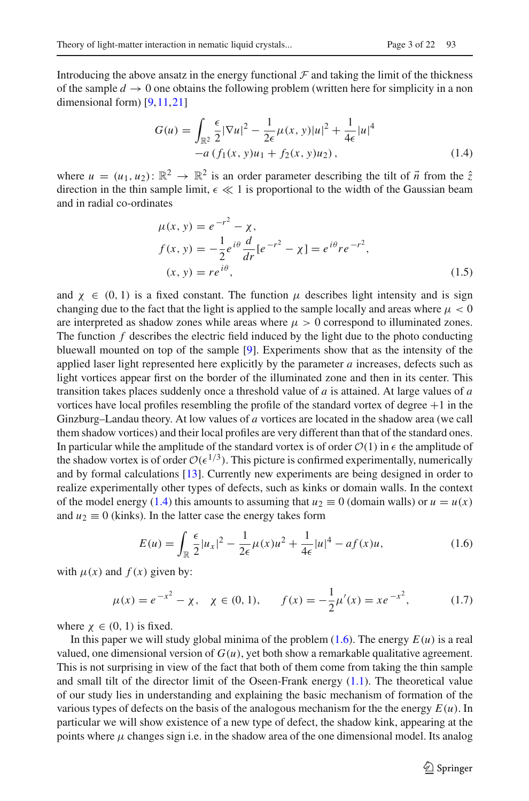Introducing the above ansatz in the energy functional  $\mathcal F$  and taking the limit of the thickness of the sample  $d \to 0$  one obtains the following problem (written here for simplicity in a non dimensional form) [\[9,](#page-20-0)[11](#page-21-6)[,21\]](#page-21-7)

<span id="page-2-0"></span>
$$
G(u) = \int_{\mathbb{R}^2} \frac{\epsilon}{2} |\nabla u|^2 - \frac{1}{2\epsilon} \mu(x, y)|u|^2 + \frac{1}{4\epsilon} |u|^4
$$
  
-a  $(f_1(x, y)u_1 + f_2(x, y)u_2),$  (1.4)

where  $u = (u_1, u_2)$ :  $\mathbb{R}^2 \to \mathbb{R}^2$  is an order parameter describing the tilt of  $\vec{n}$  from the  $\hat{z}$ direction in the thin sample limit,  $\epsilon \ll 1$  is proportional to the width of the Gaussian beam and in radial co-ordinates

$$
\mu(x, y) = e^{-r^2} - \chi,
$$
  
\n
$$
f(x, y) = -\frac{1}{2}e^{i\theta}\frac{d}{dr}[e^{-r^2} - \chi] = e^{i\theta}re^{-r^2},
$$
  
\n
$$
(x, y) = re^{i\theta},
$$
\n(1.5)

and  $\chi \in (0, 1)$  is a fixed constant. The function  $\mu$  describes light intensity and is sign changing due to the fact that the light is applied to the sample locally and areas where  $\mu < 0$ are interpreted as shadow zones while areas where  $\mu > 0$  correspond to illuminated zones. The function *f* describes the electric field induced by the light due to the photo conducting bluewall mounted on top of the sample [\[9\]](#page-20-0). Experiments show that as the intensity of the applied laser light represented here explicitly by the parameter *a* increases, defects such as light vortices appear first on the border of the illuminated zone and then in its center. This transition takes places suddenly once a threshold value of *a* is attained. At large values of *a* vortices have local profiles resembling the profile of the standard vortex of degree  $+1$  in the Ginzburg–Landau theory. At low values of *a* vortices are located in the shadow area (we call them shadow vortices) and their local profiles are very different than that of the standard ones. In particular while the amplitude of the standard vortex is of order  $O(1)$  in  $\epsilon$  the amplitude of the shadow vortex is of order  $O(\epsilon^{1/3})$ . This picture is confirmed experimentally, numerically and by formal calculations [\[13](#page-21-2)]. Currently new experiments are being designed in order to realize experimentally other types of defects, such as kinks or domain walls. In the context of the model energy [\(1.4\)](#page-2-0) this amounts to assuming that  $u_2 \equiv 0$  (domain walls) or  $u = u(x)$ and  $u_2 \equiv 0$  (kinks). In the latter case the energy takes form

<span id="page-2-1"></span>
$$
E(u) = \int_{\mathbb{R}} \frac{\epsilon}{2} |u_x|^2 - \frac{1}{2\epsilon} \mu(x) u^2 + \frac{1}{4\epsilon} |u|^4 - af(x)u,
$$
 (1.6)

with  $\mu(x)$  and  $f(x)$  given by:

<span id="page-2-2"></span>
$$
\mu(x) = e^{-x^2} - \chi, \quad \chi \in (0, 1), \qquad f(x) = -\frac{1}{2}\mu'(x) = x e^{-x^2}, \tag{1.7}
$$

where  $\chi \in (0, 1)$  is fixed.

In this paper we will study global minima of the problem [\(1.6\)](#page-2-1). The energy *E*(*u*) is a real valued, one dimensional version of  $G(u)$ , yet both show a remarkable qualitative agreement. This is not surprising in view of the fact that both of them come from taking the thin sample and small tilt of the director limit of the Oseen-Frank energy  $(1.1)$ . The theoretical value of our study lies in understanding and explaining the basic mechanism of formation of the various types of defects on the basis of the analogous mechanism for the the energy  $E(u)$ . In particular we will show existence of a new type of defect, the shadow kink, appearing at the points where  $\mu$  changes sign i.e. in the shadow area of the one dimensional model. Its analog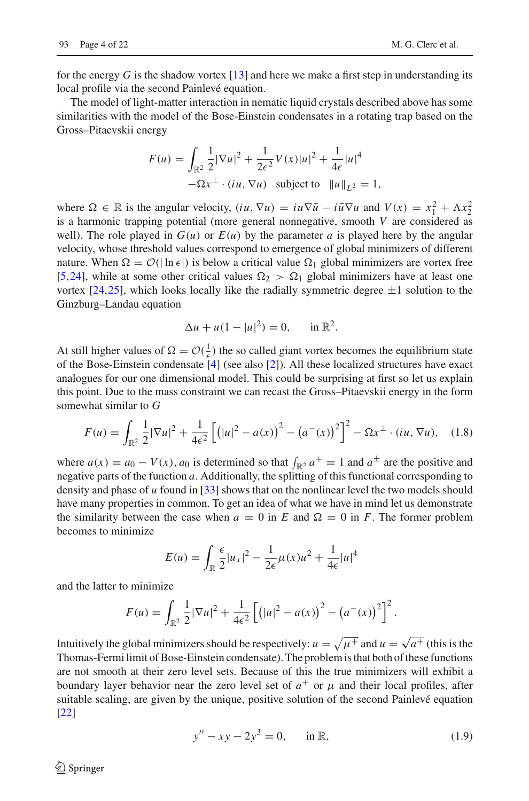for the energy *G* is the shadow vortex [\[13](#page-21-2)] and here we make a first step in understanding its local profile via the second Painlevé equation.

The model of light-matter interaction in nematic liquid crystals described above has some similarities with the model of the Bose-Einstein condensates in a rotating trap based on the Gross–Pitaevskii energy

$$
F(u) = \int_{\mathbb{R}^2} \frac{1}{2} |\nabla u|^2 + \frac{1}{2\epsilon^2} V(x) |u|^2 + \frac{1}{4\epsilon} |u|^4
$$
  
-  $\Omega x^{\perp} \cdot (iu, \nabla u)$  subject to  $||u||_{L^2} = 1$ ,

where  $\Omega \in \mathbb{R}$  is the angular velocity,  $(iu, \nabla u) = iu\nabla \overline{u} - i\overline{u}\nabla u$  and  $V(x) = x_1^2 + \Lambda x_2^2$ is a harmonic trapping potential (more general nonnegative, smooth *V* are considered as well). The role played in  $G(u)$  or  $E(u)$  by the parameter *a* is played here by the angular velocity, whose threshold values correspond to emergence of global minimizers of different nature. When  $\Omega = \mathcal{O}(|\ln \epsilon|)$  is below a critical value  $\Omega_1$  global minimizers are vortex free [\[5](#page-20-1)[,24\]](#page-21-8), while at some other critical values  $\Omega_2 > \Omega_1$  global minimizers have at least one vortex [\[24,](#page-21-8)[25](#page-21-9)], which looks locally like the radially symmetric degree  $\pm 1$  solution to the Ginzburg–Landau equation

$$
\Delta u + u(1 - |u|^2) = 0, \quad \text{in } \mathbb{R}^2.
$$

At still higher values of  $\Omega = \mathcal{O}(\frac{1}{\epsilon})$  the so called giant vortex becomes the equilibrium state of the Bose-Einstein condensate [\[4\]](#page-20-2) (see also [\[2](#page-20-3)]). All these localized structures have exact analogues for our one dimensional model. This could be surprising at first so let us explain this point. Due to the mass constraint we can recast the Gross–Pitaevskii energy in the form somewhat similar to *G*

<span id="page-3-1"></span>
$$
F(u) = \int_{\mathbb{R}^2} \frac{1}{2} |\nabla u|^2 + \frac{1}{4\epsilon^2} \left[ \left( |u|^2 - a(x) \right)^2 - \left( a^-(x) \right)^2 \right]^2 - \Omega x^\perp \cdot (iu, \nabla u), \quad (1.8)
$$

where  $a(x) = a_0 - V(x)$ ,  $a_0$  is determined so that  $\int_{\mathbb{R}^2} a^+ = 1$  and  $a^{\pm}$  are the positive and negative parts of the function *a*. Additionally, the splitting of this functional corresponding to density and phase of *u* found in [\[33](#page-21-10)] shows that on the nonlinear level the two models should have many properties in common. To get an idea of what we have in mind let us demonstrate the similarity between the case when  $a = 0$  in *E* and  $\Omega = 0$  in *F*. The former problem becomes to minimize

$$
E(u) = \int_{\mathbb{R}} \frac{\epsilon}{2} |u_x|^2 - \frac{1}{2\epsilon} \mu(x) u^2 + \frac{1}{4\epsilon} |u|^4
$$

and the latter to minimize

$$
F(u) = \int_{\mathbb{R}^2} \frac{1}{2} |\nabla u|^2 + \frac{1}{4\epsilon^2} \left[ \left( |u|^2 - a(x) \right)^2 - \left( a^-(x) \right)^2 \right]^2.
$$

Intuitively the global minimizers should be respectively:  $u = \sqrt{\mu^+}$  and  $u = \sqrt{a^+}$  (this is the Thomas-Fermi limit of Bose-Einstein condensate). The problem is that both of these functions are not smooth at their zero level sets. Because of this the true minimizers will exhibit a boundary layer behavior near the zero level set of  $a^+$  or  $\mu$  and their local profiles, after suitable scaling, are given by the unique, positive solution of the second Painlevé equation [\[22\]](#page-21-1)

<span id="page-3-0"></span>
$$
y'' - xy - 2y^3 = 0, \quad \text{in } \mathbb{R}, \tag{1.9}
$$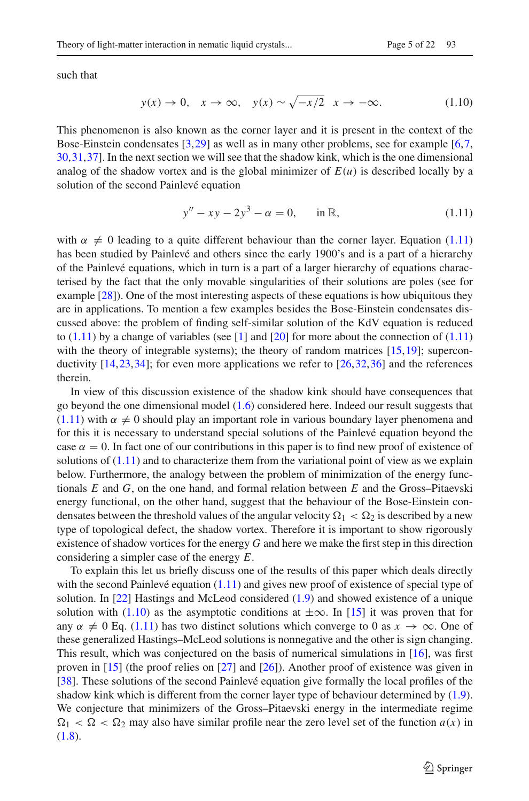such that

<span id="page-4-1"></span>
$$
y(x) \to 0, \quad x \to \infty, \quad y(x) \sim \sqrt{-x/2} \quad x \to -\infty. \tag{1.10}
$$

This phenomenon is also known as the corner layer and it is present in the context of the Bose-Einstein condensates [\[3](#page-20-4)[,29\]](#page-21-11) as well as in many other problems, see for example [\[6](#page-20-5)[,7,](#page-20-6) [30,](#page-21-12)[31](#page-21-13)[,37\]](#page-21-14). In the next section we will see that the shadow kink, which is the one dimensional analog of the shadow vortex and is the global minimizer of  $E(u)$  is described locally by a solution of the second Painlevé equation

<span id="page-4-0"></span>
$$
y'' - xy - 2y^3 - \alpha = 0, \quad \text{in } \mathbb{R}, \tag{1.11}
$$

with  $\alpha \neq 0$  leading to a quite different behaviour than the corner layer. Equation [\(1.11\)](#page-4-0) has been studied by Painlevé and others since the early 1900's and is a part of a hierarchy of the Painlevé equations, which in turn is a part of a larger hierarchy of equations characterised by the fact that the only movable singularities of their solutions are poles (see for example [\[28\]](#page-21-15)). One of the most interesting aspects of these equations is how ubiquitous they are in applications. To mention a few examples besides the Bose-Einstein condensates discussed above: the problem of finding self-similar solution of the KdV equation is reduced to  $(1.11)$  by a change of variables (see [\[1\]](#page-20-7) and [\[20](#page-21-16)] for more about the connection of  $(1.11)$ with the theory of integrable systems); the theory of random matrices  $[15,19]$  $[15,19]$ ; superconductivity  $[14,23,34]$  $[14,23,34]$  $[14,23,34]$  $[14,23,34]$ ; for even more applications we refer to  $[26,32,36]$  $[26,32,36]$  $[26,32,36]$  $[26,32,36]$  and the references therein.

In view of this discussion existence of the shadow kink should have consequences that go beyond the one dimensional model [\(1.6\)](#page-2-1) considered here. Indeed our result suggests that  $(1.11)$  with  $\alpha \neq 0$  should play an important role in various boundary layer phenomena and for this it is necessary to understand special solutions of the Painlevé equation beyond the case  $\alpha = 0$ . In fact one of our contributions in this paper is to find new proof of existence of solutions of  $(1.11)$  and to characterize them from the variational point of view as we explain below. Furthermore, the analogy between the problem of minimization of the energy functionals *E* and *G*, on the one hand, and formal relation between *E* and the Gross–Pitaevski energy functional, on the other hand, suggest that the behaviour of the Bose-Einstein condensates between the threshold values of the angular velocity  $\Omega_1 < \Omega_2$  is described by a new type of topological defect, the shadow vortex. Therefore it is important to show rigorously existence of shadow vortices for the energy *G* and here we make the first step in this direction considering a simpler case of the energy *E*.

To explain this let us briefly discuss one of the results of this paper which deals directly with the second Painlevé equation  $(1.11)$  and gives new proof of existence of special type of solution. In [\[22](#page-21-1)] Hastings and McLeod considered [\(1.9\)](#page-3-0) and showed existence of a unique solution with [\(1.10\)](#page-4-1) as the asymptotic conditions at  $\pm\infty$ . In [\[15\]](#page-21-0) it was proven that for any  $\alpha \neq 0$  Eq. [\(1.11\)](#page-4-0) has two distinct solutions which converge to 0 as  $x \to \infty$ . One of these generalized Hastings–McLeod solutions is nonnegative and the other is sign changing. This result, which was conjectured on the basis of numerical simulations in [\[16\]](#page-21-24), was first proven in [\[15\]](#page-21-0) (the proof relies on [\[27](#page-21-25)] and [\[26](#page-21-21)]). Another proof of existence was given in [\[38\]](#page-21-26). These solutions of the second Painlevé equation give formally the local profiles of the shadow kink which is different from the corner layer type of behaviour determined by [\(1.9\)](#page-3-0). We conjecture that minimizers of the Gross–Pitaevski energy in the intermediate regime  $\Omega_1 < \Omega < \Omega_2$  may also have similar profile near the zero level set of the function  $a(x)$  in  $(1.8).$  $(1.8).$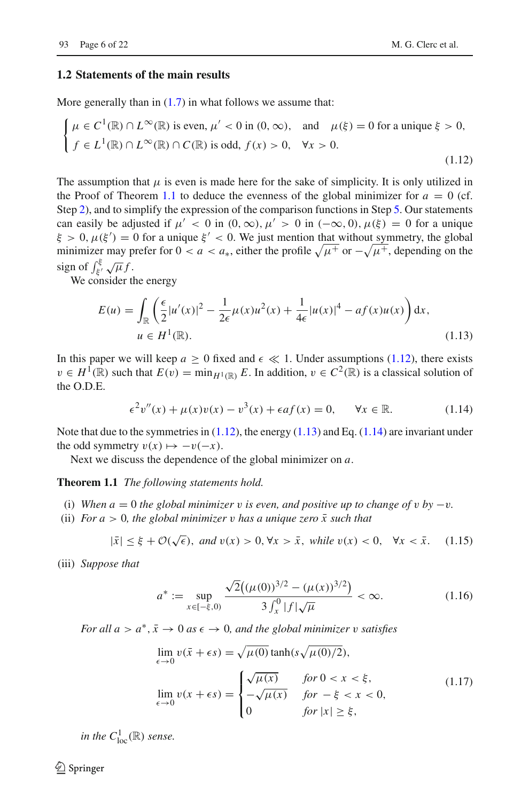#### **1.2 Statements of the main results**

More generally than in  $(1.7)$  in what follows we assume that:

$$
\begin{cases} \n\mu \in C^1(\mathbb{R}) \cap L^{\infty}(\mathbb{R}) \text{ is even, } \mu' < 0 \text{ in } (0, \infty), \quad \text{and} \quad \mu(\xi) = 0 \text{ for a unique } \xi > 0, \\ \nf \in L^1(\mathbb{R}) \cap L^{\infty}(\mathbb{R}) \cap C(\mathbb{R}) \text{ is odd, } f(x) > 0, \quad \forall x > 0. \n\end{cases} \tag{1.12}
$$

The assumption that  $\mu$  is even is made here for the sake of simplicity. It is only utilized in the Proof of Theorem [1.1](#page-5-0) to deduce the evenness of the global minimizer for  $a = 0$  (cf. Step [2\)](#page-9-0), and to simplify the expression of the comparison functions in Step [5.](#page-11-0) Our statements can easily be adjusted if  $\mu' < 0$  in  $(0, \infty)$ ,  $\mu' > 0$  in  $(-\infty, 0)$ ,  $\mu(\xi) = 0$  for a unique  $\xi > 0$ ,  $\mu(\xi') = 0$  for a unique  $\xi' < 0$ . We just mention that without symmetry, the global minimizer may prefer for  $0 < a < a_*$ , either the profile  $\sqrt{\mu^+}$  or  $-\sqrt{\mu^+}$ , depending on the sign of  $\int_{\xi'}^{\xi} \sqrt{\mu} f$ .

We consider the energy

<span id="page-5-2"></span><span id="page-5-1"></span>
$$
E(u) = \int_{\mathbb{R}} \left( \frac{\epsilon}{2} |u'(x)|^2 - \frac{1}{2\epsilon} \mu(x) u^2(x) + \frac{1}{4\epsilon} |u(x)|^4 - af(x) u(x) \right) dx,
$$
  
\n
$$
u \in H^1(\mathbb{R}).
$$
\n(1.13)

In this paper we will keep  $a \ge 0$  fixed and  $\epsilon \ll 1$ . Under assumptions [\(1.12\)](#page-5-1), there exists  $v \in H^1(\mathbb{R})$  such that  $E(v) = \min_{H^1(\mathbb{R})} E$ . In addition,  $v \in C^2(\mathbb{R})$  is a classical solution of the O.D.E.

<span id="page-5-3"></span><span id="page-5-0"></span>
$$
\epsilon^2 v''(x) + \mu(x)v(x) - v^3(x) + \epsilon af(x) = 0, \quad \forall x \in \mathbb{R}.
$$
 (1.14)

Note that due to the symmetries in  $(1.12)$ , the energy  $(1.13)$  and Eq.  $(1.14)$  are invariant under the odd symmetry  $v(x) \mapsto -v(-x)$ .

Next we discuss the dependence of the global minimizer on *a*.

**Theorem 1.1** *The following statements hold.*

- (i) When  $a = 0$  *the global minimizer* v *is even, and positive up to change of* v *by*  $-v$ *.*
- (ii) *For a*  $> 0$ *, the global minimizer* v *has a unique zero*  $\bar{x}$  *such that*

<span id="page-5-6"></span>
$$
|\bar{x}| \le \xi + \mathcal{O}(\sqrt{\epsilon}), \text{ and } v(x) > 0, \forall x > \bar{x}, \text{ while } v(x) < 0, \forall x < \bar{x}. \tag{1.15}
$$

(iii) *Suppose that*

<span id="page-5-4"></span>
$$
a^* := \sup_{x \in [-\xi, 0)} \frac{\sqrt{2}((\mu(0))^{3/2} - (\mu(x))^{3/2})}{3 \int_x^0 |f| \sqrt{\mu}} < \infty.
$$
 (1.16)

*For all a* >  $a^*, \bar{x} \to 0$  *as*  $\epsilon \to 0$ *, and the global minimizer v satisfies* 

<span id="page-5-5"></span>
$$
\lim_{\epsilon \to 0} v(\bar{x} + \epsilon s) = \sqrt{\mu(0)} \tanh(s\sqrt{\mu(0)/2}),
$$
\n
$$
\lim_{\epsilon \to 0} v(x + \epsilon s) = \begin{cases}\n\sqrt{\mu(x)} & \text{for } 0 < x < \xi, \\
-\sqrt{\mu(x)} & \text{for } -\xi < x < 0, \\
0 & \text{for } |x| \ge \xi,\n\end{cases}
$$
\n(1.17)

*in the*  $C^1_{\text{loc}}(\mathbb{R})$  *sense.* 

 $\mathcal{L}$  Springer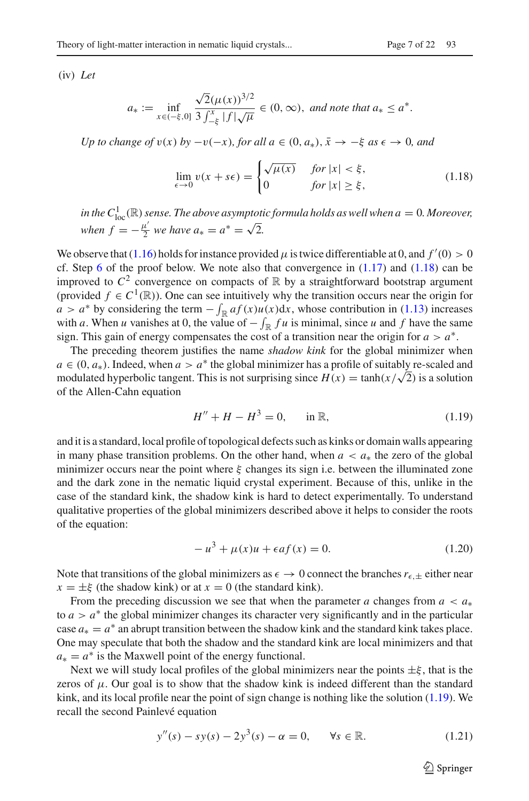(iv) *Let*

$$
a_* := \inf_{x \in (-\xi, 0]} \frac{\sqrt{2}(\mu(x))^{3/2}}{3 \int_{-\xi}^x |f| \sqrt{\mu}} \in (0, \infty), \text{ and note that } a_* \le a^*.
$$

*Up to change of*  $v(x)$  *by*  $-v(-x)$ *, for all a* ∈  $(0, a_*)$ *,*  $\bar{x} \rightarrow -\xi$  *as*  $\epsilon \rightarrow 0$ *, and* 

<span id="page-6-0"></span>
$$
\lim_{\epsilon \to 0} v(x + s\epsilon) = \begin{cases} \sqrt{\mu(x)} & \text{for } |x| < \xi, \\ 0 & \text{for } |x| \ge \xi, \end{cases} \tag{1.18}
$$

in the  $C_{\text{loc}}^1(\mathbb{R})$  sense. The above asymptotic formula holds as well when  $a=0$ . Moreover, *when*  $f = -\frac{\mu'}{2}$  *we have*  $a_* = a^* = \sqrt{2}$ .

We observe that [\(1.16\)](#page-5-4) holds for instance provided  $\mu$  is twice differentiable at 0, and  $f'(0) > 0$ cf. Step  $6$  of the proof below. We note also that convergence in  $(1.17)$  and  $(1.18)$  can be improved to  $C^2$  convergence on compacts of  $\mathbb R$  by a straightforward bootstrap argument (provided  $f \in C^1(\mathbb{R})$ ). One can see intuitively why the transition occurs near the origin for *a* > *a*<sup>∗</sup> by considering the term  $-\int_{\mathbb{R}} af(x)u(x)dx$ , whose contribution in [\(1.13\)](#page-5-2) increases with *a*. When *u* vanishes at 0, the value of  $-\int_{\mathbb{R}} f u$  is minimal, since *u* and *f* have the same sign. This gain of energy compensates the cost of a transition near the origin for  $a > a^*$ .

The preceding theorem justifies the name *shadow kink* for the global minimizer when  $a \in (0, a_*)$ . Indeed, when  $a > a^*$  the global minimizer has a profile of suitably re-scaled and modulated hyperbolic tangent. This is not surprising since  $H(x) = \tanh(x/\sqrt{2})$  is a solution of the Allen-Cahn equation

<span id="page-6-1"></span>
$$
H'' + H - H^3 = 0, \quad \text{in } \mathbb{R}, \tag{1.19}
$$

and it is a standard, local profile of topological defects such as kinks or domain walls appearing in many phase transition problems. On the other hand, when  $a < a_*$  the zero of the global minimizer occurs near the point where  $\xi$  changes its sign i.e. between the illuminated zone and the dark zone in the nematic liquid crystal experiment. Because of this, unlike in the case of the standard kink, the shadow kink is hard to detect experimentally. To understand qualitative properties of the global minimizers described above it helps to consider the roots of the equation:

<span id="page-6-2"></span>
$$
-u^{3} + \mu(x)u + \epsilon af(x) = 0.
$$
 (1.20)

Note that transitions of the global minimizers as  $\epsilon \to 0$  connect the branches  $r_{\epsilon,\pm}$  either near  $x = \pm \xi$  (the shadow kink) or at  $x = 0$  (the standard kink).

From the preceding discussion we see that when the parameter *a* changes from  $a < a_*$ to  $a > a^*$  the global minimizer changes its character very significantly and in the particular case  $a_* = a^*$  an abrupt transition between the shadow kink and the standard kink takes place. One may speculate that both the shadow and the standard kink are local minimizers and that  $a_* = a^*$  is the Maxwell point of the energy functional.

Next we will study local profiles of the global minimizers near the points  $\pm \xi$ , that is the zeros of  $\mu$ . Our goal is to show that the shadow kink is indeed different than the standard kink, and its local profile near the point of sign change is nothing like the solution  $(1.19)$ . We recall the second Painlevé equation

<span id="page-6-3"></span>
$$
y''(s) - sy(s) - 2y^{3}(s) - \alpha = 0, \quad \forall s \in \mathbb{R}.
$$
 (1.21)

 $\circled{2}$  Springer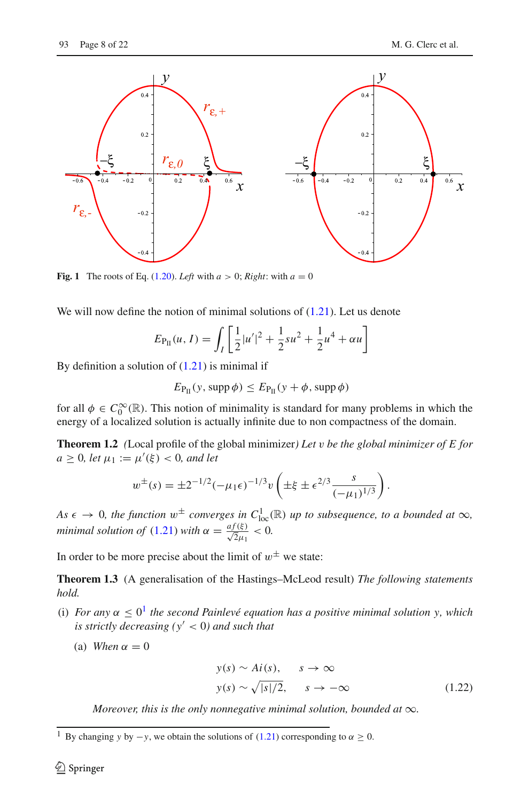

<span id="page-7-2"></span>**Fig. 1** The roots of Eq. [\(1.20\)](#page-6-2). *Left* with  $a > 0$ ; *Right*: with  $a = 0$ 

We will now define the notion of minimal solutions of  $(1.21)$ . Let us denote

$$
E_{\rm P_{II}}(u, I) = \int_I \left[ \frac{1}{2} |u'|^2 + \frac{1}{2} s u^2 + \frac{1}{2} u^4 + \alpha u \right]
$$

By definition a solution of  $(1.21)$  is minimal if

$$
E_{\rm P_{II}}(y, \text{supp}\,\phi) \leq E_{\rm P_{II}}(y + \phi, \text{supp}\,\phi)
$$

<span id="page-7-3"></span>for all  $\phi \in C_0^{\infty}(\mathbb{R})$ . This notion of minimality is standard for many problems in which the energy of a localized solution is actually infinite due to non compactness of the domain.

**Theorem 1.2** *(*Local profile of the global minimizer*) Let* v *be the global minimizer of E for*  $a \geq 0$ *, let*  $\mu_1 := \mu'(\xi) < 0$ *, and let* 

$$
w^{\pm}(s) = \pm 2^{-1/2} (-\mu_1 \epsilon)^{-1/3} v \left( \pm \xi \pm \epsilon^{2/3} \frac{s}{(-\mu_1)^{1/3}} \right).
$$

*As*  $\epsilon \to 0$ , the function  $w^{\pm}$  converges in  $C^{1}_{loc}(\mathbb{R})$  up to subsequence, to a bounded at  $\infty$ , *minimal solution of* [\(1.21\)](#page-6-3) *with*  $\alpha = \frac{af(\xi)}{\sqrt{2}\mu_1} < 0$ .

<span id="page-7-1"></span>In order to be more precise about the limit of  $w^{\pm}$  we state:

**Theorem 1.3** (A generalisation of the Hastings–McLeod result) *The following statements hold.*

- (i) *For any*  $\alpha \leq 0^1$  $\alpha \leq 0^1$  *the second Painlevé equation has a positive minimal solution y, which is strictly decreasing (y* < 0*) and such that*
	- (a) *When*  $\alpha = 0$

<span id="page-7-4"></span>
$$
y(s) \sim Ai(s), \qquad s \to \infty
$$
  

$$
y(s) \sim \sqrt{|s|/2}, \qquad s \to -\infty
$$
 (1.22)

*Moreover, this is the only nonnegative minimal solution, bounded at*  $\infty$ *.* 

<span id="page-7-0"></span><sup>&</sup>lt;sup>1</sup> By changing *y* by  $-y$ , we obtain the solutions of [\(1.21\)](#page-6-3) corresponding to  $\alpha \ge 0$ .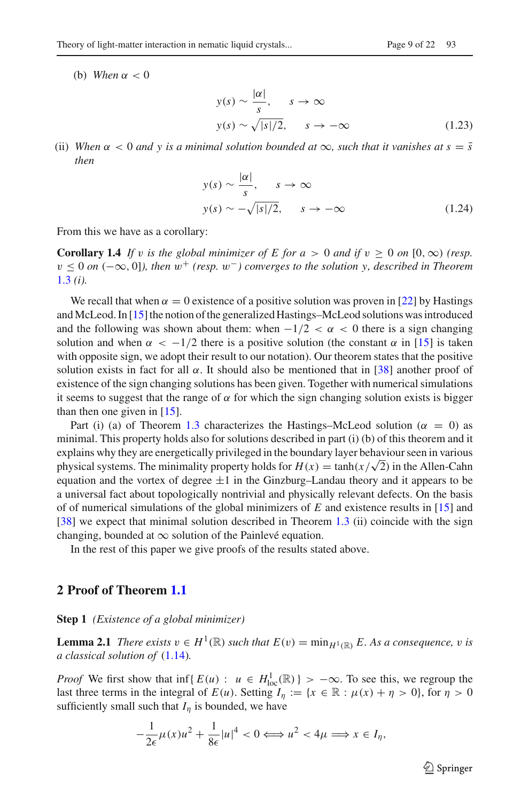(b) *When*  $\alpha < 0$ 

<span id="page-8-0"></span>
$$
y(s) \sim \frac{|\alpha|}{s}, \quad s \to \infty
$$
  

$$
y(s) \sim \sqrt{|s|/2}, \quad s \to -\infty
$$
 (1.23)

(ii) *When*  $\alpha < 0$  *and* y is a minimal solution bounded at  $\infty$ , such that it vanishes at  $s = \overline{s}$ *then*

<span id="page-8-1"></span>
$$
y(s) \sim \frac{|\alpha|}{s}, \quad s \to \infty
$$
  

$$
y(s) \sim -\sqrt{|s|/2}, \quad s \to -\infty
$$
 (1.24)

From this we have as a corollary:

**Corollary 1.4** *If v is the global minimizer of E for*  $a > 0$  *and if*  $v > 0$  *on*  $[0, \infty)$  *(resp.*) v ≤ 0 *on* (−∞, 0]*), then* w<sup>+</sup> *(resp.* w−*) converges to the solution y, described in Theorem* [1.3](#page-7-1) *(i).*

We recall that when  $\alpha = 0$  existence of a positive solution was proven in [\[22](#page-21-1)] by Hastings and McLeod. In [\[15\]](#page-21-0) the notion of the generalized Hastings–McLeod solutions was introduced and the following was shown about them: when  $-1/2 < \alpha < 0$  there is a sign changing solution and when  $\alpha < -1/2$  there is a positive solution (the constant  $\alpha$  in [\[15\]](#page-21-0) is taken with opposite sign, we adopt their result to our notation). Our theorem states that the positive solution exists in fact for all  $\alpha$ . It should also be mentioned that in [\[38](#page-21-26)] another proof of existence of the sign changing solutions has been given. Together with numerical simulations it seems to suggest that the range of  $\alpha$  for which the sign changing solution exists is bigger than then one given in [\[15\]](#page-21-0).

Part (i) (a) of Theorem [1.3](#page-7-1) characterizes the Hastings–McLeod solution ( $\alpha = 0$ ) as minimal. This property holds also for solutions described in part (i) (b) of this theorem and it explains why they are energetically privileged in the boundary layer behaviour seen in various physical systems. The minimality property holds for  $H(x) = \tanh(x/\sqrt{2})$  in the Allen-Cahn equation and the vortex of degree  $\pm 1$  in the Ginzburg–Landau theory and it appears to be a universal fact about topologically nontrivial and physically relevant defects. On the basis of of numerical simulations of the global minimizers of *E* and existence results in [\[15\]](#page-21-0) and [\[38\]](#page-21-26) we expect that minimal solution described in Theorem [1.3](#page-7-1) (ii) coincide with the sign changing, bounded at  $\infty$  solution of the Painlevé equation.

In the rest of this paper we give proofs of the results stated above.

#### **2 Proof of Theorem [1.1](#page-5-0)**

**Step 1** *(Existence of a global minimizer)*

**Lemma 2.1** *There exists*  $v \in H^1(\mathbb{R})$  *such that*  $E(v) = \min_{H^1(\mathbb{R})} E$ . As a consequence, v is *a classical solution of* [\(1.14\)](#page-5-3)*.*

*Proof* We first show that inf{ $E(u)$ :  $u \in H^1_{loc}(\mathbb{R})$ } >  $-\infty$ . To see this, we regroup the last three terms in the integral of  $E(u)$ . Setting  $I_{\eta} := \{x \in \mathbb{R} : \mu(x) + \eta > 0\}$ , for  $\eta > 0$ sufficiently small such that  $I_n$  is bounded, we have

$$
-\frac{1}{2\epsilon}\mu(x)u^2 + \frac{1}{8\epsilon}|u|^4 < 0 \Longleftrightarrow u^2 < 4\mu \Longrightarrow x \in I_\eta,
$$

 $\circled{2}$  Springer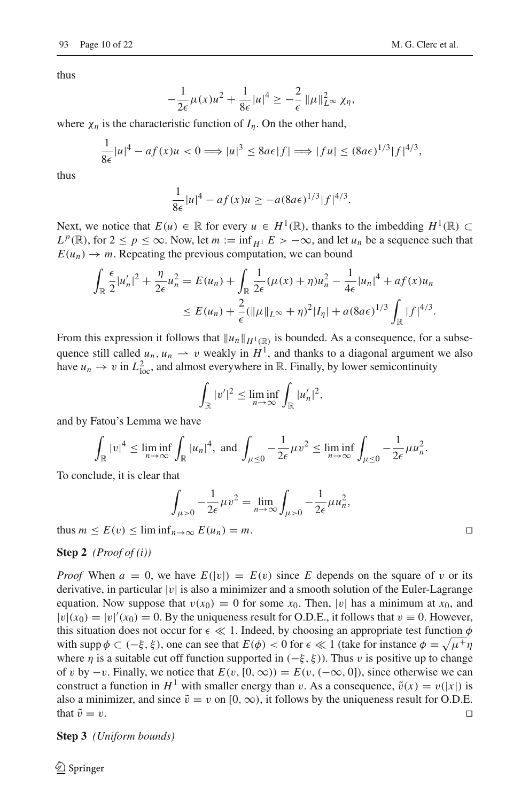thus

$$
-\frac{1}{2\epsilon}\mu(x)u^2 + \frac{1}{8\epsilon}|u|^4 \geq -\frac{2}{\epsilon}\|\mu\|_{L^\infty}^2 \chi_\eta,
$$

where  $\chi_n$  is the characteristic function of  $I_n$ . On the other hand,

$$
\frac{1}{8\epsilon}|u|^4 - af(x)u < 0 \Longrightarrow |u|^3 \leq 8a\epsilon|f| \Longrightarrow |fu| \leq (8a\epsilon)^{1/3}|f|^{4/3},
$$

thus

$$
\frac{1}{8\epsilon}|u|^4 - af(x)u \ge -a(8a\epsilon)^{1/3}|f|^{4/3}.
$$

Next, we notice that  $E(u) \in \mathbb{R}$  for every  $u \in H^1(\mathbb{R})$ , thanks to the imbedding  $H^1(\mathbb{R}) \subset$  $L^p(\mathbb{R})$ , for  $2 \le p \le \infty$ . Now, let  $m := \inf_{H^1} E > -\infty$ , and let  $u_n$  be a sequence such that  $E(u_n) \to m$ . Repeating the previous computation, we can bound

$$
\int_{\mathbb{R}} \frac{\epsilon}{2} |u'_n|^2 + \frac{\eta}{2\epsilon} u_n^2 = E(u_n) + \int_{\mathbb{R}} \frac{1}{2\epsilon} (\mu(x) + \eta) u_n^2 - \frac{1}{4\epsilon} |u_n|^4 + a f(x) u_n
$$
  

$$
\leq E(u_n) + \frac{2}{\epsilon} (\|\mu\|_{L^\infty} + \eta)^2 |I_\eta| + a(8a\epsilon)^{1/3} \int_{\mathbb{R}} |f|^{4/3}.
$$

From this expression it follows that  $||u_n||_{H^1(\mathbb{R})}$  is bounded. As a consequence, for a subsequence still called  $u_n$ ,  $u_n \rightharpoonup v$  weakly in  $H^1$ , and thanks to a diagonal argument we also have  $u_n \to v$  in  $L^2_{loc}$ , and almost everywhere in  $\mathbb R$ . Finally, by lower semicontinuity

$$
\int_{\mathbb{R}} |v'|^2 \le \liminf_{n \to \infty} \int_{\mathbb{R}} |u'_n|^2,
$$

and by Fatou's Lemma we have

$$
\int_{\mathbb{R}}|v|^4 \leq \liminf_{n\to\infty}\int_{\mathbb{R}}|u_n|^4, \text{ and } \int_{\mu\leq 0}-\frac{1}{2\epsilon}\mu v^2 \leq \liminf_{n\to\infty}\int_{\mu\leq 0}-\frac{1}{2\epsilon}\mu u_n^2.
$$

To conclude, it is clear that

$$
\int_{\mu>0} -\frac{1}{2\epsilon} \mu v^2 = \lim_{n\to\infty} \int_{\mu>0} -\frac{1}{2\epsilon} \mu u_n^2,
$$

<span id="page-9-0"></span>thus  $m \le E(v) \le \liminf_{n \to \infty} E(u_n) = m$ .

#### **Step 2** *(Proof of (i))*

*Proof* When  $a = 0$ , we have  $E(|v|) = E(v)$  since *E* depends on the square of v or its derivative, in particular  $|v|$  is also a minimizer and a smooth solution of the Euler-Lagrange equation. Now suppose that  $v(x_0) = 0$  for some  $x_0$ . Then, |v| has a minimum at  $x_0$ , and  $|v|(x_0) = |v|'(x_0) = 0$ . By the uniqueness result for O.D.E., it follows that  $v \equiv 0$ . However, this situation does not occur for  $\epsilon \ll 1$ . Indeed, by choosing an appropriate test function  $\phi$ with supp  $\phi \subset (-\xi, \xi)$ , one can see that  $E(\phi) < 0$  for  $\epsilon \ll 1$  (take for instance  $\phi = \sqrt{\mu + \eta}$ where  $\eta$  is a suitable cut off function supported in ( $-\xi$ ,  $\xi$ )). Thus v is positive up to change of v by  $-v$ . Finally, we notice that  $E(v, [0, \infty)) = E(v, (-\infty, 0])$ , since otherwise we can construct a function in  $H^1$  with smaller energy than v. As a consequence,  $\tilde{v}(x) = v(|x|)$  is also a minimizer, and since  $\tilde{v} = v$  on  $[0, \infty)$ , it follows by the uniqueness result for O.D.E. that  $\tilde{v} \equiv v$ . that  $\tilde{v} \equiv v$ .

**Step 3** *(Uniform bounds)*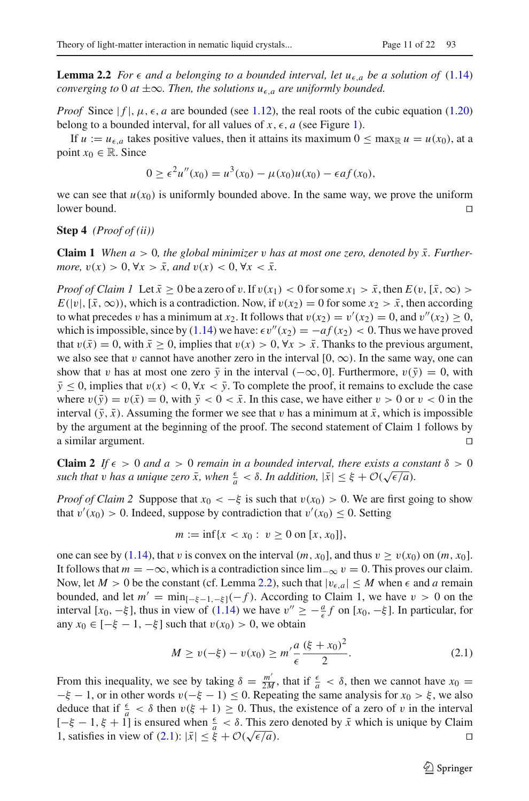<span id="page-10-0"></span>**Lemma 2.2** *For*  $\epsilon$  *and a belonging to a bounded interval, let*  $u_{\epsilon,a}$  *be a solution of* [\(1.14\)](#page-5-3) *converging to* 0 *at*  $\pm \infty$ *. Then, the solutions*  $u_{\epsilon,a}$  *are uniformly bounded.* 

*Proof* Since  $|f|, \mu, \epsilon, a$  are bounded (see [1.12\)](#page-5-1), the real roots of the cubic equation [\(1.20\)](#page-6-2) belong to a bounded interval, for all values of  $x, \epsilon, a$  (see Figure [1\)](#page-7-2).

If  $u := u_{\epsilon,a}$  takes positive values, then it attains its maximum  $0 \le \max_{\mathbb{R}} u = u(x_0)$ , at a point  $x_0 \in \mathbb{R}$ . Since

$$
0 \ge \epsilon^2 u''(x_0) = u^3(x_0) - \mu(x_0)u(x_0) - \epsilon af(x_0),
$$

we can see that  $u(x_0)$  is uniformly bounded above. In the same way, we prove the uniform lower bound. lower bound.  $\square$ 

**Step 4** *(Proof of (ii))*

**Claim 1** *When*  $a > 0$ *, the global minimizer* v *has at most one zero, denoted by*  $\bar{x}$ *. Furthermore,*  $v(x) > 0$ ,  $\forall x > \bar{x}$ , and  $v(x) < 0$ ,  $\forall x < \bar{x}$ .

*Proof of Claim 1* Let  $\bar{x} \ge 0$  be a zero of v. If  $v(x_1) < 0$  for some  $x_1 > \bar{x}$ , then  $E(v, [\bar{x}, \infty))$  $E(|v|, [\bar{x}, \infty))$ , which is a contradiction. Now, if  $v(x_2) = 0$  for some  $x_2 > \bar{x}$ , then according to what precedes v has a minimum at  $x_2$ . It follows that  $v(x_2) = v'(x_2) = 0$ , and  $v''(x_2) \ge 0$ , which is impossible, since by [\(1.14\)](#page-5-3) we have:  $\epsilon v''(x_2) = -af(x_2) < 0$ . Thus we have proved that  $v(\bar{x}) = 0$ , with  $\bar{x} \ge 0$ , implies that  $v(x) > 0$ ,  $\forall x > \bar{x}$ . Thanks to the previous argument, we also see that v cannot have another zero in the interval  $[0, \infty)$ . In the same way, one can show that v has at most one zero  $\bar{y}$  in the interval ( $-\infty$ , 0]. Furthermore,  $v(\bar{y}) = 0$ , with  $\bar{y} \le 0$ , implies that  $v(x) < 0$ ,  $\forall x < \bar{y}$ . To complete the proof, it remains to exclude the case where  $v(\bar{y}) = v(\bar{x}) = 0$ , with  $\bar{y} < 0 < \bar{x}$ . In this case, we have either  $v > 0$  or  $v < 0$  in the interval  $(\bar{y}, \bar{x})$ . Assuming the former we see that v has a minimum at  $\bar{x}$ , which is impossible by the argument at the beginning of the proof. The second statement of Claim 1 follows by a similar argument.

**Claim 2** *If*  $\epsilon > 0$  *and*  $a > 0$  *remain in a bounded interval, there exists a constant*  $\delta > 0$  $such that v has a unique zero \bar{x}$ , when  $\frac{\epsilon}{a} < \delta$ . In addition,  $|\bar{x}| \leq \xi + \mathcal{O}(\sqrt{\epsilon/a})$ .

*Proof of Claim 2* Suppose that  $x_0 < -\xi$  is such that  $v(x_0) > 0$ . We are first going to show that  $v'(x_0) > 0$ . Indeed, suppose by contradiction that  $v'(x_0) \le 0$ . Setting

$$
m := \inf\{x < x_0 : v \ge 0 \text{ on } [x, x_0]\},
$$

one can see by [\(1.14\)](#page-5-3), that v is convex on the interval  $(m, x_0]$ , and thus  $v \ge v(x_0)$  on  $(m, x_0]$ . It follows that  $m = -\infty$ , which is a contradiction since  $\lim_{x \to \infty} v = 0$ . This proves our claim. Now, let  $M > 0$  be the constant (cf. Lemma [2.2\)](#page-10-0), such that  $|v_{\epsilon,a}| \leq M$  when  $\epsilon$  and *a* remain bounded, and let  $m' = \min_{[-\xi-1,-\xi]} (-f)$ . According to Claim 1, we have  $v > 0$  on the interval  $[x_0, -\xi]$ , thus in view of [\(1.14\)](#page-5-3) we have  $v'' \ge -\frac{a}{\epsilon}f$  on  $[x_0, -\xi]$ . In particular, for any *x*<sup>0</sup> ∈ [− $\xi$  − 1, − $\xi$ ] such that *v*(*x*<sup>0</sup>) > 0, we obtain

<span id="page-10-1"></span>
$$
M \ge v(-\xi) - v(x_0) \ge m' \frac{a}{\epsilon} \frac{(\xi + x_0)^2}{2}.
$$
 (2.1)

From this inequality, we see by taking  $\delta = \frac{m'}{2M}$ , that if  $\frac{\epsilon}{a} < \delta$ , then we cannot have  $x_0 =$  $-\xi - 1$ , or in other words  $v(-\xi - 1) \le 0$ . Repeating the same analysis for  $x_0 > \xi$ , we also deduce that if  $\frac{\epsilon}{a} < \delta$  then  $v(\xi + 1) \ge 0$ . Thus, the existence of a zero of v in the interval  $[-ξ - 1, ξ + 1]$  is ensured when  $\frac{ε}{a} < δ$ . This zero denoted by  $\bar{x}$  which is unique by Claim 1, satisfies in view of (2.1):  $|\bar{x}| ≤ ξ$  ( $\sqrt{ε/a}$ ). 1, satisfies in view of  $(2.1)$ :  $|\bar{x}| \leq \xi + \mathcal{O}(\sqrt{\epsilon/a})$ .

 $\mathcal{L}$  Springer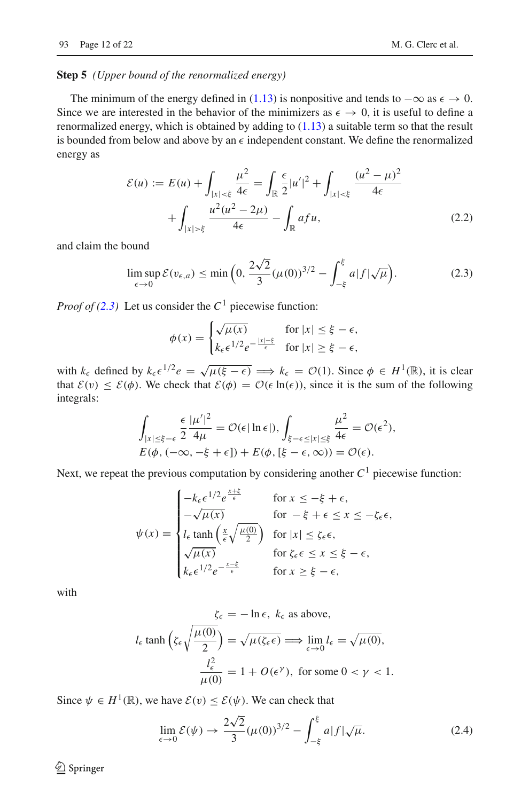#### <span id="page-11-0"></span>**Step 5** *(Upper bound of the renormalized energy)*

The minimum of the energy defined in [\(1.13\)](#page-5-2) is nonpositive and tends to  $-\infty$  as  $\epsilon \to 0$ . Since we are interested in the behavior of the minimizers as  $\epsilon \to 0$ , it is useful to define a renormalized energy, which is obtained by adding to [\(1.13\)](#page-5-2) a suitable term so that the result is bounded from below and above by an  $\epsilon$  independent constant. We define the renormalized energy as

<span id="page-11-3"></span>
$$
\mathcal{E}(u) := E(u) + \int_{|x| < \xi} \frac{\mu^2}{4\epsilon} = \int_{\mathbb{R}} \frac{\epsilon}{2} |u'|^2 + \int_{|x| < \xi} \frac{(u^2 - \mu)^2}{4\epsilon} + \int_{|x| > \xi} \frac{u^2(u^2 - 2\mu)}{4\epsilon} - \int_{\mathbb{R}} afu, \tag{2.2}
$$

and claim the bound

<span id="page-11-1"></span>
$$
\limsup_{\epsilon \to 0} \mathcal{E}(v_{\epsilon,a}) \le \min\left(0, \frac{2\sqrt{2}}{3} (\mu(0))^{3/2} - \int_{-\xi}^{\xi} a|f|\sqrt{\mu}\right). \tag{2.3}
$$

*Proof of [\(2.3\)](#page-11-1)* Let us consider the  $C<sup>1</sup>$  piecewise function:

$$
\phi(x) = \begin{cases} \sqrt{\mu(x)} & \text{for } |x| \le \xi - \epsilon, \\ k_{\epsilon} \epsilon^{1/2} e^{-\frac{|x| - \xi}{\epsilon}} & \text{for } |x| \ge \xi - \epsilon, \end{cases}
$$

with  $k_{\epsilon}$  defined by  $k_{\epsilon} \epsilon^{1/2} e = \sqrt{\mu(\xi - \epsilon)} \implies k_{\epsilon} = \mathcal{O}(1)$ . Since  $\phi \in H^1(\mathbb{R})$ , it is clear that  $\mathcal{E}(v) \leq \mathcal{E}(\phi)$ . We check that  $\mathcal{E}(\phi) = \mathcal{O}(\epsilon \ln(\epsilon))$ , since it is the sum of the following integrals:

$$
\int_{|x| \leq \xi - \epsilon} \frac{\epsilon}{2} \frac{|\mu'|^2}{4\mu} = \mathcal{O}(\epsilon |\ln \epsilon|), \int_{\xi - \epsilon \leq |x| \leq \xi} \frac{\mu^2}{4\epsilon} = \mathcal{O}(\epsilon^2),
$$
  

$$
E(\phi, (-\infty, -\xi + \epsilon]) + E(\phi, [\xi - \epsilon, \infty)) = \mathcal{O}(\epsilon).
$$

Next, we repeat the previous computation by considering another  $C<sup>1</sup>$  piecewise function:

*x*+ξ

$$
\psi(x) = \begin{cases}\n-k_{\epsilon} \epsilon^{1/2} e^{\frac{x + \xi}{\epsilon}} & \text{for } x \le -\xi + \epsilon, \\
-\sqrt{\mu(x)} & \text{for } -\xi + \epsilon \le x \le -\zeta_{\epsilon} \epsilon, \\
l_{\epsilon} \tanh\left(\frac{x}{\epsilon} \sqrt{\frac{\mu(0)}{2}}\right) & \text{for } |x| \le \zeta_{\epsilon} \epsilon, \\
\sqrt{\mu(x)} & \text{for } \zeta_{\epsilon} \epsilon \le x \le \xi - \epsilon, \\
k_{\epsilon} \epsilon^{1/2} e^{-\frac{x - \xi}{\epsilon}} & \text{for } x \ge \xi - \epsilon,\n\end{cases}
$$

with

$$
\zeta_{\epsilon} = -\ln \epsilon, \ k_{\epsilon} \text{ as above,}
$$

$$
l_{\epsilon} \tanh\left(\zeta_{\epsilon}\sqrt{\frac{\mu(0)}{2}}\right) = \sqrt{\mu(\zeta_{\epsilon}\epsilon)} \Longrightarrow \lim_{\epsilon \to 0} l_{\epsilon} = \sqrt{\mu(0)},
$$

$$
\frac{l_{\epsilon}^{2}}{\mu(0)} = 1 + O(\epsilon^{\gamma}), \text{ for some } 0 < \gamma < 1.
$$

Since  $\psi \in H^1(\mathbb{R})$ , we have  $\mathcal{E}(v) \leq \mathcal{E}(\psi)$ . We can check that

<span id="page-11-2"></span>
$$
\lim_{\epsilon \to 0} \mathcal{E}(\psi) \to \frac{2\sqrt{2}}{3} (\mu(0))^{3/2} - \int_{-\xi}^{\xi} a|f|\sqrt{\mu}.
$$
 (2.4)

 $\bigcirc$  Springer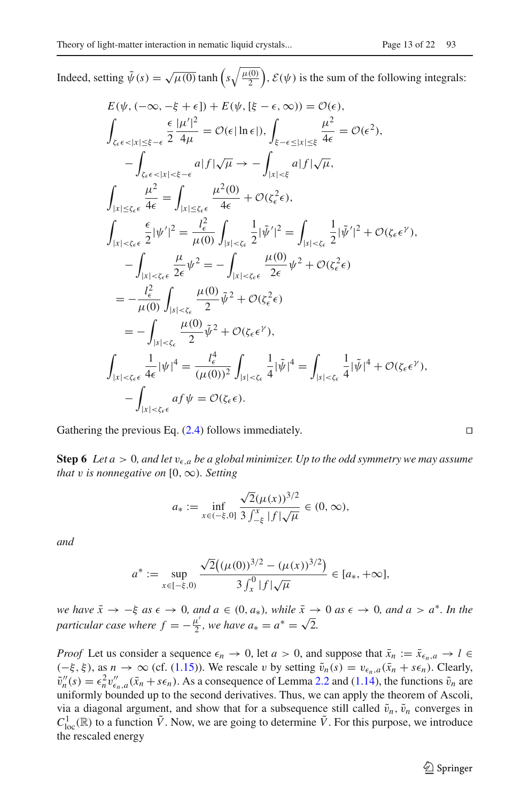Indeed, setting  $\tilde{\psi}(s) = \sqrt{\mu(0)} \tanh\left(s\sqrt{\frac{\mu(0)}{2}}\right)$ ,  $\mathcal{E}(\psi)$  is the sum of the following integrals:

$$
E(\psi, (-\infty, -\xi + \epsilon]) + E(\psi, [\xi - \epsilon, \infty)) = \mathcal{O}(\epsilon),
$$
\n
$$
\int_{\zeta_{\epsilon} \epsilon < |x| \leq \xi - \epsilon} \frac{\epsilon |\mu'|^2}{2 4\mu} = \mathcal{O}(\epsilon |\ln \epsilon|), \int_{\xi - \epsilon \leq |x| \leq \xi} \frac{\mu^2}{4\epsilon} = \mathcal{O}(\epsilon^2),
$$
\n
$$
-\int_{\zeta_{\epsilon} \epsilon < |x| \leq \xi - \epsilon} a|f|\sqrt{\mu} \to -\int_{|x| \leq \xi} a|f|\sqrt{\mu},
$$
\n
$$
\int_{|x| \leq \zeta_{\epsilon} \epsilon} \frac{\mu^2}{4\epsilon} = \int_{|x| \leq \zeta_{\epsilon} \epsilon} \frac{\mu^2(0)}{4\epsilon} + \mathcal{O}(\zeta_{\epsilon}^2 \epsilon),
$$
\n
$$
\int_{|x| \leq \zeta_{\epsilon} \epsilon} \frac{\epsilon}{2} |\psi'|^2 = \frac{l_{\epsilon}^2}{\mu(0)} \int_{|s| \leq \zeta_{\epsilon}} \frac{1}{2} |\tilde{\psi}'|^2 = \int_{|s| \leq \zeta_{\epsilon}} \frac{1}{2} |\tilde{\psi}'|^2 + \mathcal{O}(\zeta_{\epsilon} \epsilon^{\gamma}),
$$
\n
$$
-\int_{|x| \leq \zeta_{\epsilon} \epsilon} \frac{\mu}{2\epsilon} \psi^2 = -\int_{|x| \leq \zeta_{\epsilon} \epsilon} \frac{\mu(0)}{2\epsilon} \psi^2 + \mathcal{O}(\zeta_{\epsilon}^2 \epsilon)
$$
\n
$$
= -\int_{|s| \leq \zeta_{\epsilon}} \frac{\mu(0)}{2} \tilde{\psi}^2 + \mathcal{O}(\zeta_{\epsilon} \epsilon^{\gamma}),
$$
\n
$$
\int_{|x| \leq \zeta_{\epsilon} \epsilon} \frac{1}{4\epsilon} |\psi|^4 = \frac{l_{\epsilon}^4}{(\mu(0))^2} \int_{|s| \leq \zeta_{\epsilon}} \frac{1}{4} |\tilde{\psi}|^4 = \int_{|s| \leq \zeta_{\epsilon}} \frac{1}{4} |\tilde{\psi}|^4 + \mathcal{O}(\zeta_{\epsilon} \epsilon^{\gamma}),
$$
\n<math display="</math>

Gathering the previous Eq.  $(2.4)$  follows immediately.

<span id="page-12-0"></span>**Step 6** *Let*  $a > 0$ , and let  $v_{\epsilon,a}$  be a global minimizer. Up to the odd symmetry we may assume *that* v *is nonnegative on* [0,  $\infty$ ). Setting

$$
a_* := \inf_{x \in (-\xi,0]} \frac{\sqrt{2}(\mu(x))^{3/2}}{3 \int_{-\xi}^x |f| \sqrt{\mu}} \in (0,\infty),
$$

*and*

$$
a^* := \sup_{x \in [-\xi,0)} \frac{\sqrt{2}((\mu(0))^{3/2} - (\mu(x))^{3/2})}{3 \int_x^0 |f|\sqrt{\mu}} \in [a_*, +\infty],
$$

*we have*  $\bar{x} \to -\xi$  *as*  $\epsilon \to 0$ *, and a*  $\epsilon$  (0*, a*\**), while*  $\bar{x} \to 0$  *as*  $\epsilon \to 0$ *, and a* > *a*<sup>\*</sup>*. In the particular case where*  $f = -\frac{\mu'}{2}$ , we have  $a_* = a^* = \sqrt{2}$ .

*Proof* Let us consider a sequence  $\epsilon_n \to 0$ , let  $a > 0$ , and suppose that  $\bar{x}_n := \bar{x}_{\epsilon_n, a} \to l \in$  $(-\xi, \xi)$ , as *n* → ∞ (cf. [\(1.15\)](#page-5-6)). We rescale *v* by setting  $\tilde{v}_n(s) = v_{\epsilon_n, a}(\bar{x}_n + s\epsilon_n)$ . Clearly,  $\tilde{v}_n''(s) = \epsilon_n^2 v_{\epsilon_n, a}''(\bar{x}_n + s\epsilon_n)$ . As a consequence of Lemma [2.2](#page-10-0) and [\(1.14\)](#page-5-3), the functions  $\tilde{v}_n$  are uniformly bounded up to the second derivatives. Thus, we can apply the theorem of Ascoli, via a diagonal argument, and show that for a subsequence still called  $\tilde{v}_n$ ,  $\tilde{v}_n$  converges in  $C^1_{loc}(\mathbb{R})$  to a function  $\tilde{V}$ . Now, we are going to determine  $\tilde{V}$ . For this purpose, we introduce the rescaled energy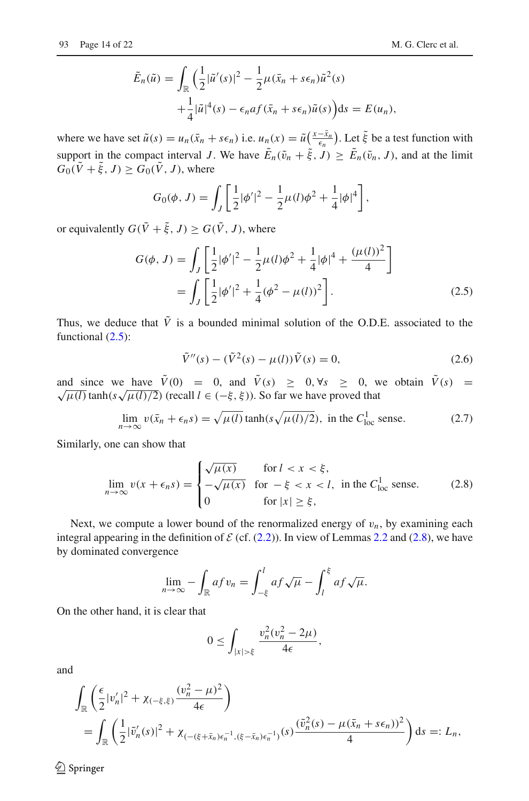$$
\tilde{E}_n(\tilde{u}) = \int_{\mathbb{R}} \left( \frac{1}{2} |\tilde{u}'(s)|^2 - \frac{1}{2} \mu(\bar{x}_n + s\epsilon_n) \tilde{u}^2(s) + \frac{1}{4} |\tilde{u}|^4(s) - \epsilon_n a f(\bar{x}_n + s\epsilon_n) \tilde{u}(s) \right) ds = E(u_n),
$$

where we have set  $\tilde{u}(s) = u_n(\bar{x}_n + s\epsilon_n)$  i.e.  $u_n(x) = \tilde{u}\left(\frac{x - \bar{x}_n}{\epsilon_n}\right)$ . Let  $\tilde{\xi}$  be a test function with support in the compact interval *J*. We have  $\tilde{E}_n(\tilde{v}_n + \tilde{\xi}, \tilde{J}) \geq \tilde{E}_n(\tilde{v}_n, J)$ , and at the limit  $G_0(\tilde{V} + \tilde{\xi}, J) \geq G_0(\tilde{V}, J)$ , where

$$
G_0(\phi, J) = \int_J \left[ \frac{1}{2} |\phi'|^2 - \frac{1}{2} \mu(I) \phi^2 + \frac{1}{4} |\phi|^4 \right],
$$

or equivalently  $G(\tilde{V} + \tilde{\xi}, J) > G(\tilde{V}, J)$ , where

<span id="page-13-0"></span>
$$
G(\phi, J) = \int_{J} \left[ \frac{1}{2} |\phi'|^{2} - \frac{1}{2} \mu(l)\phi^{2} + \frac{1}{4} |\phi|^{4} + \frac{(\mu(l))^{2}}{4} \right]
$$
  
= 
$$
\int_{J} \left[ \frac{1}{2} |\phi'|^{2} + \frac{1}{4} (\phi^{2} - \mu(l))^{2} \right].
$$
 (2.5)

Thus, we deduce that  $\tilde{V}$  is a bounded minimal solution of the O.D.E. associated to the functional  $(2.5)$ :

$$
\tilde{V}''(s) - (\tilde{V}^2(s) - \mu(l))\tilde{V}(s) = 0,
$$
\n(2.6)

and since we have  $\tilde{V}(0) = 0$ , and  $\tilde{V}(s) \ge 0$ ,  $\forall s \ge 0$ , we obtain  $\tilde{V}(s) =$  $\sqrt{\mu(l)}$  tanh( $s\sqrt{\mu(l)/2}$ ) (recall  $l \in (-\xi, \xi)$ ). So far we have proved that

$$
\lim_{n \to \infty} v(\bar{x}_n + \epsilon_n s) = \sqrt{\mu(l)} \tanh(s\sqrt{\mu(l)/2}), \text{ in the } C^1_{loc} \text{ sense.}
$$
 (2.7)

Similarly, one can show that

<span id="page-13-1"></span>
$$
\lim_{n \to \infty} v(x + \epsilon_n s) = \begin{cases} \sqrt{\mu(x)} & \text{for } l < x < \xi, \\ -\sqrt{\mu(x)} & \text{for } -\xi < x < l, \text{ in the } C_{\text{loc}}^1 \text{ sense.} \\ 0 & \text{for } |x| \ge \xi, \end{cases} \tag{2.8}
$$

Next, we compute a lower bound of the renormalized energy of  $v_n$ , by examining each integral appearing in the definition of  $\mathcal{E}$  (cf. [\(2.2\)](#page-11-3)). In view of Lemmas [2.2](#page-10-0) and [\(2.8\)](#page-13-1), we have by dominated convergence

$$
\lim_{n\to\infty}-\int_{\mathbb{R}}afv_n=\int_{-\xi}^l af\sqrt{\mu}-\int_l^{\xi} af\sqrt{\mu}.
$$

On the other hand, it is clear that

$$
0 \leq \int_{|x| > \xi} \frac{v_n^2 (v_n^2 - 2\mu)}{4\epsilon},
$$

and

$$
\int_{\mathbb{R}} \left( \frac{\epsilon}{2} |v_n'|^2 + \chi_{(-\xi,\xi)} \frac{(v_n^2 - \mu)^2}{4\epsilon} \right)
$$
\n
$$
= \int_{\mathbb{R}} \left( \frac{1}{2} |\tilde{v}_n'(s)|^2 + \chi_{(-(\xi + \bar{x}_n)\epsilon_n^{-1},(\xi - \bar{x}_n)\epsilon_n^{-1})}(s) \frac{(\tilde{v}_n^2(s) - \mu(\bar{x}_n + s\epsilon_n))^2}{4} \right) ds =: L_n,
$$

<sup>2</sup> Springer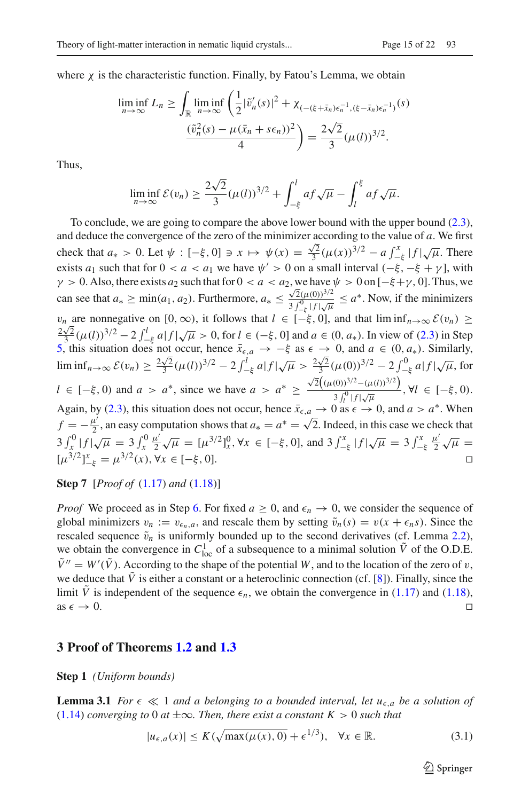where  $\chi$  is the characteristic function. Finally, by Fatou's Lemma, we obtain

$$
\liminf_{n \to \infty} L_n \ge \int_{\mathbb{R}} \liminf_{n \to \infty} \left( \frac{1}{2} |\tilde{v}'_n(s)|^2 + \chi_{(-(\xi + \bar{x}_n)\epsilon_n^{-1}, (\xi - \bar{x}_n)\epsilon_n^{-1})}(s) \right) \frac{(\tilde{v}_n^2(s) - \mu(\bar{x}_n + s\epsilon_n))^2}{4} = \frac{2\sqrt{2}}{3} (\mu(l))^{3/2}.
$$

Thus,

$$
\liminf_{n\to\infty} \mathcal{E}(v_n) \ge \frac{2\sqrt{2}}{3} (\mu(l))^{3/2} + \int_{-\xi}^l af \sqrt{\mu} - \int_l^{\xi} af \sqrt{\mu}.
$$

To conclude, we are going to compare the above lower bound with the upper bound [\(2.3\)](#page-11-1), and deduce the convergence of the zero of the minimizer according to the value of *a*. We first check that  $a_* > 0$ . Let  $\psi : [-\xi, 0] \ni x \mapsto \psi(x) = \frac{\sqrt{2}}{3} (\mu(x))^{3/2} - a \int_{-\xi}^{x} |f| \sqrt{\mu}$ . There exists *a*<sub>1</sub> such that for  $0 < a < a_1$  we have  $\psi' > 0$  on a small interval  $(-\xi, -\xi + \gamma]$ , with  $\gamma > 0$ . Also, there exists  $a_2$  such that for  $0 < a < a_2$ , we have  $\psi > 0$  on  $[-\xi + \gamma, 0]$ . Thus, we can see that  $a_* \geq \min(a_1, a_2)$ . Furthermore,  $a_* \leq \frac{\sqrt{2}(\mu(0))^{3/2}}{3}$  $\frac{\sqrt{2(\mu(0))}}{3\int_{-\xi}^{0} |f|\sqrt{\mu}} \le a^*$ . Now, if the minimizers  $v_n$  are nonnegative on  $[0, \infty)$ , it follows that  $l \in [-\xi, 0]$ , and that  $\liminf_{n\to\infty} \mathcal{E}(v_n) \ge$  $\frac{2\sqrt{2}}{5}$ (μ(l))<sup>3/2</sup> − 2  $\int_{-\frac{1}{5}}^{1} a|f|\sqrt{\mu} > 0$ , for  $l \in (-\frac{2}{5}, 0]$  and  $a \in (0, a_*)$ . In view of [\(2.3\)](#page-11-1) in Step [5,](#page-11-0) this situation does not occur, hence  $\bar{x}_{\epsilon,a}$  → −ξ as  $\epsilon \to 0$ , and  $a \in (0, a_*)$ . Similarly,  $\liminf_{n\to\infty} \mathcal{E}(v_n) \geq \frac{2\sqrt{2}}{3} (\mu(l))^{3/2} - 2 \int_{-\xi}^{l} a|f|\sqrt{\mu} > \frac{2\sqrt{2}}{3} (\mu(0))^{3/2} - 2 \int_{-\xi}^{0} a|f|\sqrt{\mu}$ , for  $l \in [-\xi, 0)$  and  $a > a^*$ , since we have  $a > a^* \geq$  $\sqrt{2}((\mu(0))^{3/2}-(\mu(l))^{3/2})$  $\frac{\partial f_{\mu}(x,y)}{\partial f_{l}^{0}}$  *j*  $\frac{\partial f_{\mu}(x,y)}{\partial f_{l}^{0}}$ ,  $\forall l \in [-\xi, 0)$ . Again, by [\(2.3\)](#page-11-1), this situation does not occur, hence  $\bar{x}_{\epsilon,a} \to 0$  as  $\epsilon \to 0$ , and  $a > a^*$ . When  $f = -\frac{\mu'}{2}$ , an easy computation shows that  $a_* = a^* = \sqrt{2}$ . Indeed, in this case we check that  $3 \int_x^0 |f| \sqrt{\mu} = 3 \int_x^0 \frac{\mu'}{2} \sqrt{\mu} = [\mu^{3/2}]_x^0, \forall x \in [-\xi, 0], \text{ and } 3 \int_{-\xi}^x |f| \sqrt{\mu} = 3 \int_{-\xi}^x \frac{\mu'}{2} \sqrt{\mu} =$  $[\mu^{3/2}]_{-\xi}^x = \mu^{3/2}(x), \forall x \in [-\xi, 0].$ 

**Step 7** [*Proof of* [\(1.17\)](#page-5-5) *and* [\(1.18\)](#page-6-0)]

*Proof* We proceed as in Step [6.](#page-12-0) For fixed  $a \ge 0$ , and  $\epsilon_n \to 0$ , we consider the sequence of global minimizers  $v_n := v_{\epsilon_n, a}$ , and rescale them by setting  $\tilde{v}_n(s) = v(x + \epsilon_n s)$ . Since the rescaled sequence  $\tilde{v}_n$  is uniformly bounded up to the second derivatives (cf. Lemma [2.2\)](#page-10-0), we obtain the convergence in  $C_{loc}^1$  of a subsequence to a minimal solution  $\tilde{V}$  of the O.D.E.  $V'' = W'(V)$ . According to the shape of the potential *W*, and to the location of the zero of *v*, we deduce that  $\tilde{V}$  is either a constant or a heteroclinic connection (cf. [\[8](#page-20-8)]). Finally, since the limit  $\overline{V}$  is independent of the sequence  $\epsilon_n$ , we obtain the convergence in [\(1.17\)](#page-5-5) and [\(1.18\)](#page-6-0), as  $\epsilon \to 0$ . as  $\epsilon \to 0$ .

#### **3 Proof of Theorems [1.2](#page-7-3) and [1.3](#page-7-1)**

**Step 1** *(Uniform bounds)*

<span id="page-14-1"></span>**Lemma 3.1** *For*  $\epsilon \ll 1$  *and a belonging to a bounded interval, let*  $u_{\epsilon,a}$  *be a solution of* [\(1.14\)](#page-5-3) *converging to* 0 *at*  $\pm \infty$ *. Then, there exist a constant K* > 0 *such that* 

<span id="page-14-0"></span>
$$
|u_{\epsilon,a}(x)| \le K(\sqrt{\max(\mu(x), 0)} + \epsilon^{1/3}), \quad \forall x \in \mathbb{R}.\tag{3.1}
$$

 $\mathcal{L}$  Springer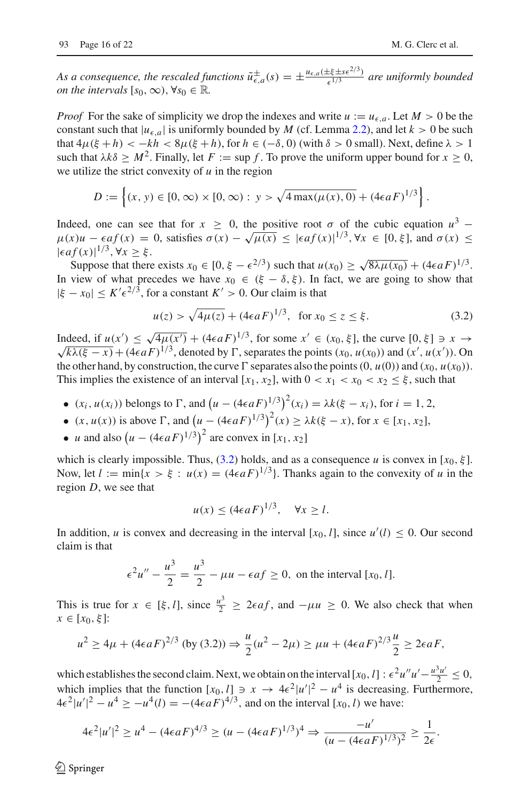As a consequence, the rescaled functions  $\tilde{u}^{\pm}_{\epsilon,a}(s) = \pm \frac{u_{\epsilon,a}(\pm \xi \pm s\epsilon^{2/3})}{\epsilon^{1/3}}$  are uniformly bounded *on the intervals*  $[s_0, \infty)$ ,  $\forall s_0 \in \mathbb{R}$ .

*Proof* For the sake of simplicity we drop the indexes and write  $u := u_{\epsilon,a}$ . Let  $M > 0$  be the constant such that  $|u_{\epsilon,a}|$  is uniformly bounded by *M* (cf. Lemma [2.2\)](#page-10-0), and let  $k > 0$  be such that  $4\mu(\xi + h) < -kh < 8\mu(\xi + h)$ , for  $h \in (-\delta, 0)$  (with  $\delta > 0$  small). Next, define  $\lambda > 1$ such that  $\lambda k\delta > M^2$ . Finally, let  $F := \sup f$ . To prove the uniform upper bound for  $x > 0$ , we utilize the strict convexity of *u* in the region

$$
D := \left\{ (x, y) \in [0, \infty) \times [0, \infty) : y > \sqrt{4 \max(\mu(x), 0)} + (4\epsilon a F)^{1/3} \right\}
$$

Indeed, one can see that for  $x \ge 0$ , the positive root  $\sigma$  of the cubic equation  $u^3$  −  $\mu(x)u - \epsilon af(x) = 0$ , satisfies  $\sigma(x) - \sqrt{\mu(x)} \leq |\epsilon af(x)|^{1/3}$ ,  $\forall x \in [0, \xi]$ , and  $\sigma(x) \leq$  $|\epsilon af(x)|^{1/3}, \forall x \geq \xi.$ 

Suppose that there exists  $x_0 \in [0, \xi - \epsilon^{2/3})$  such that  $u(x_0) > \sqrt{8\lambda \mu(x_0)} + (4\epsilon aF)^{1/3}$ . In view of what precedes we have  $x_0 \in (\xi - \delta, \xi)$ . In fact, we are going to show that  $|\xi - x_0| \leq K' \epsilon^{2/3}$ , for a constant  $K' > 0$ . Our claim is that

<span id="page-15-0"></span>
$$
u(z) > \sqrt{4\mu(z)} + (4\epsilon aF)^{1/3}, \text{ for } x_0 \le z \le \xi.
$$
 (3.2)

Indeed, if  $u(x') \le \sqrt{4\mu(x')} + (4\epsilon aF)^{1/3}$ , for some  $x' \in (x_0, \xi]$ , the curve [0,  $\xi$ ] ∋ x →  $\sqrt{k\lambda(\xi - x)} + (4\epsilon aF)^{1/3}$ , denoted by  $\Gamma$ , separates the points  $(x_0, u(x_0))$  and  $(x', u(x'))$ . On the other hand, by construction, the curve  $\Gamma$  separates also the points  $(0, u(0))$  and  $(x_0, u(x_0))$ . This implies the existence of an interval  $[x_1, x_2]$ , with  $0 < x_1 < x_0 < x_2 \le \xi$ , such that

- $(x_i, u(x_i))$  belongs to  $\Gamma$ , and  $(u (4\epsilon aF)^{1/3})^2(x_i) = \lambda k(\xi x_i)$ , for  $i = 1, 2$ ,
- $(x, u(x))$  is above  $\Gamma$ , and  $(u (4\epsilon aF)^{1/3})^2(x) \ge \lambda k(\xi x)$ , for  $x \in [x_1, x_2]$ ,
- *u* and also  $(u (4\epsilon aF)^{1/3})^2$  are convex in [ $x_1, x_2$ ]

which is clearly impossible. Thus,  $(3.2)$  holds, and as a consequence *u* is convex in [ $x_0, \xi$ ]. Now, let  $l := \min\{x > \xi : u(x) = (4\epsilon aF)^{1/3}\}\)$ . Thanks again to the convexity of *u* in the region *D*, we see that

$$
u(x) \le (4\epsilon aF)^{1/3}, \quad \forall x \ge l.
$$

In addition, *u* is convex and decreasing in the interval  $[x_0, l]$ , since  $u'(l) \leq 0$ . Our second claim is that

$$
\epsilon^2 u'' - \frac{u^3}{2} = \frac{u^3}{2} - \mu u - \epsilon af \ge 0, \text{ on the interval } [x_0, l].
$$

This is true for  $x \in [\xi, l]$ , since  $\frac{u^3}{2} \ge 2\epsilon af$ , and  $-\mu u \ge 0$ . We also check that when  $x \in [x_0, \xi]$ :

$$
u^{2} \ge 4\mu + (4\epsilon aF)^{2/3} \text{ (by (3.2))} \Rightarrow \frac{u}{2}(u^{2} - 2\mu) \ge \mu u + (4\epsilon aF)^{2/3} \frac{u}{2} \ge 2\epsilon aF,
$$

which establishes the second claim. Next, we obtain on the interval  $[x_0, l] : \epsilon^2 u'' u' - \frac{u^3 u'}{2} \le 0$ , which implies that the function  $[x_0, l] \ni x \to 4\epsilon^2 |u'|^2 - u^4$  is decreasing. Furthermore,  $4\epsilon^2 |u'|^2 - u^4 \geq -u^4(l) = -(4\epsilon aF)^{4/3}$ , and on the interval [*x*<sub>0</sub>, *l*) we have:

$$
4\epsilon^2|u'|^2 \ge u^4 - (4\epsilon aF)^{4/3} \ge (u - (4\epsilon aF)^{1/3})^4 \Rightarrow \frac{-u'}{(u - (4\epsilon aF)^{1/3})^2} \ge \frac{1}{2\epsilon}.
$$

 $\circledcirc$  Springer

.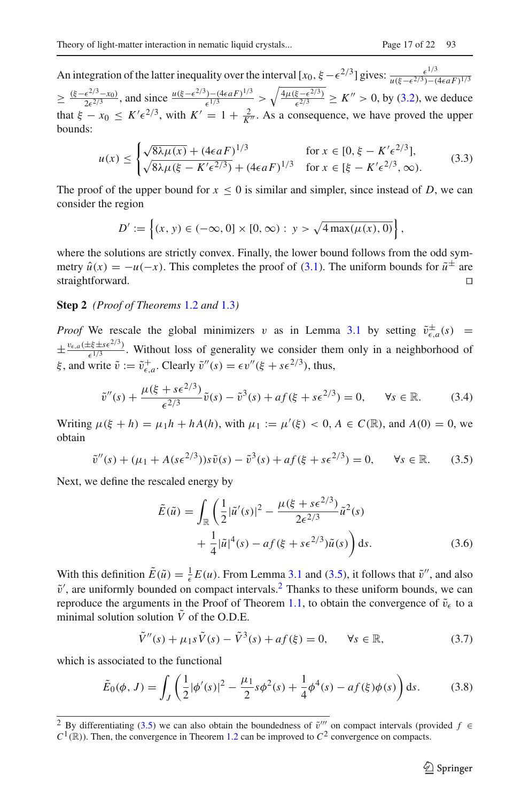An integration of the latter inequality over the interval  $[x_0, \xi - \epsilon^{2/3}]$  gives:  $\frac{\epsilon^{1/3}}{u(\xi - \epsilon^{2/3}) - (4\epsilon aF)^{1/3}}$  $\geq \frac{(\xi - \epsilon^{2/3} - x_0)}{2\epsilon^{2/3}}$ , and since  $\frac{u(\xi - \epsilon^{2/3}) - (4\epsilon aF)^{1/3}}{\epsilon^{1/3}} > \sqrt{\frac{4\mu(\xi - \epsilon^{2/3})}{\epsilon^{2/3}}} \geq K'' > 0$ , by [\(3.2\)](#page-15-0), we deduce that  $\xi - x_0 \le K' \epsilon^{2/3}$ , with  $K' = 1 + \frac{2}{K''}$ . As a consequence, we have proved the upper bounds:

$$
u(x) \le \begin{cases} \sqrt{8\lambda\mu(x)} + (4\epsilon aF)^{1/3} & \text{for } x \in [0, \xi - K'\epsilon^{2/3}],\\ \sqrt{8\lambda\mu(\xi - K'\epsilon^{2/3})} + (4\epsilon aF)^{1/3} & \text{for } x \in [\xi - K'\epsilon^{2/3}, \infty). \end{cases}
$$
(3.3)

The proof of the upper bound for  $x \leq 0$  is similar and simpler, since instead of *D*, we can consider the region

$$
D' := \left\{ (x, y) \in (-\infty, 0] \times [0, \infty) : y > \sqrt{4 \max(\mu(x), 0)} \right\},\
$$

where the solutions are strictly convex. Finally, the lower bound follows from the odd symmetry  $\hat{u}(x) = -u(-x)$ . This completes the proof of [\(3.1\)](#page-14-0). The uniform bounds for  $\tilde{u}^{\pm}$  are straightforward. straightforward.

#### **Step 2** *(Proof of Theorems* [1.2](#page-7-3) *and* [1.3](#page-7-1)*)*

*Proof* We rescale the global minimizers v as in Lemma [3.1](#page-14-1) by setting  $\tilde{v}^{\pm}_{\epsilon,a}(s)$  =  $\pm \frac{v_{\epsilon,a}(\pm \xi \pm s \epsilon^{2/3})}{\epsilon^{1/3}}$ . Without loss of generality we consider them only in a neighborhood of  $\xi$ , and write  $\tilde{v} := \tilde{v}_{\epsilon,a}^+$ . Clearly  $\tilde{v}''(s) = \epsilon v''(\xi + s\epsilon^{2/3})$ , thus,

$$
\tilde{v}''(s) + \frac{\mu(\xi + s\epsilon^{2/3})}{\epsilon^{2/3}} \tilde{v}(s) - \tilde{v}^3(s) + af(\xi + s\epsilon^{2/3}) = 0, \quad \forall s \in \mathbb{R}.
$$
 (3.4)

Writing  $\mu(\xi + h) = \mu_1 h + hA(h)$ , with  $\mu_1 := \mu'(\xi) < 0$ ,  $A \in C(\mathbb{R})$ , and  $A(0) = 0$ , we obtain

<span id="page-16-0"></span>
$$
\tilde{v}''(s) + (\mu_1 + A(s\epsilon^{2/3}))s\tilde{v}(s) - \tilde{v}^3(s) + af(\xi + s\epsilon^{2/3}) = 0, \quad \forall s \in \mathbb{R}.\tag{3.5}
$$

Next, we define the rescaled energy by

$$
\tilde{E}(\tilde{u}) = \int_{\mathbb{R}} \left( \frac{1}{2} |\tilde{u}'(s)|^2 - \frac{\mu(\xi + s\epsilon^{2/3})}{2\epsilon^{2/3}} \tilde{u}^2(s) + \frac{1}{4} |\tilde{u}|^4(s) - af(\xi + s\epsilon^{2/3})\tilde{u}(s) \right) ds.
$$
\n(3.6)

With this definition  $\tilde{E}(\tilde{u}) = \frac{1}{\epsilon}E(u)$ . From Lemma [3.1](#page-14-1) and [\(3.5\)](#page-16-0), it follows that  $\tilde{v}''$ , and also  $\tilde{v}'$ , are uniformly bounded on compact intervals.<sup>2</sup> Thanks to these uniform bounds, we can reproduce the arguments in the Proof of Theorem [1.1,](#page-5-0) to obtain the convergence of  $\tilde{v}_{\epsilon}$  to a minimal solution solution  $\tilde{V}$  of the O.D.E.

<span id="page-16-2"></span>
$$
\tilde{V}''(s) + \mu_1 s \tilde{V}(s) - \tilde{V}^3(s) + af(\xi) = 0, \quad \forall s \in \mathbb{R},
$$
\n(3.7)

which is associated to the functional

$$
\tilde{E}_0(\phi, J) = \int_J \left( \frac{1}{2} |\phi'(s)|^2 - \frac{\mu_1}{2} s \phi^2(s) + \frac{1}{4} \phi^4(s) - a f(\xi) \phi(s) \right) ds.
$$
 (3.8)

<span id="page-16-1"></span><sup>&</sup>lt;sup>2</sup> By differentiating [\(3.5\)](#page-16-0) we can also obtain the boundedness of  $\tilde{v}'''$  on compact intervals (provided *f* ∈  $C$ <sup>1</sup>(ℝ)). Then, the convergence in Theorem [1.2](#page-7-3) can be improved to  $C$ <sup>2</sup> convergence on compacts.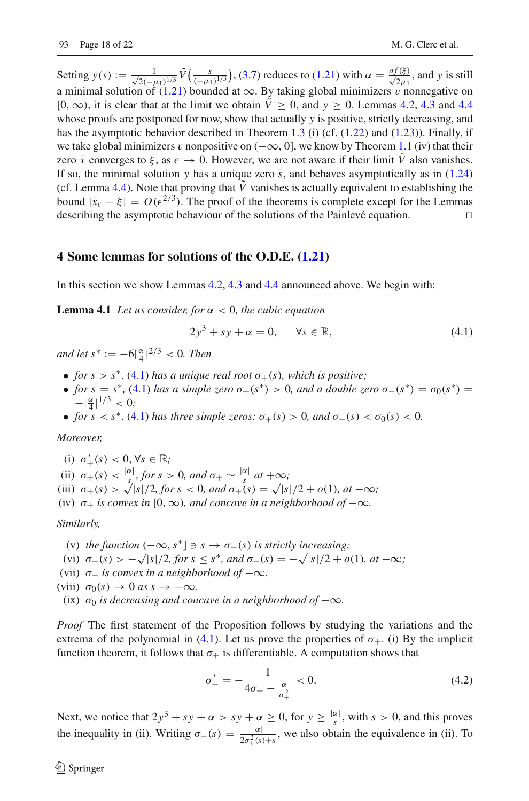Setting  $y(s) := \frac{1}{\sqrt{2}(-\mu_1)^{1/3}} \tilde{V}\left(\frac{s}{(-\mu_1)^{1/3}}\right)$ , [\(3.7\)](#page-16-2) reduces to [\(1.21\)](#page-6-3) with  $\alpha = \frac{af(\xi)}{\sqrt{2}\mu_1}$ , and *y* is still a minimal solution of [\(1.21\)](#page-6-3) bounded at  $\infty$ . By taking global minimizers v nonnegative on [0,  $\infty$ ), it is clear that at the limit we obtain  $\tilde{V} > 0$ , and  $y > 0$ . Lemmas [4.2,](#page-18-0) [4.3](#page-19-0) and [4.4](#page-19-1) whose proofs are postponed for now, show that actually *y* is positive, strictly decreasing, and has the asymptotic behavior described in Theorem [1.3](#page-7-1) (i) (cf.  $(1.22)$  and  $(1.23)$ ). Finally, if we take global minimizers v nonpositive on  $(-\infty, 0]$ , we know by Theorem [1.1](#page-5-0) (iv) that their zero  $\bar{x}$  converges to  $\xi$ , as  $\epsilon \to 0$ . However, we are not aware if their limit *V* also vanishes. If so, the minimal solution *y* has a unique zero  $\bar{s}$ , and behaves asymptotically as in [\(1.24\)](#page-8-1) (cf. Lemma [4.4\)](#page-19-1). Note that proving that  $\tilde{V}$  vanishes is actually equivalent to establishing the bound  $|\bar{x}_{\epsilon} - \xi| = O(\epsilon^{2/3})$ . The proof of the theorems is complete except for the Lemmas describing the asymptotic behaviour of the solutions of the Painlevé equation. describing the asymptotic behaviour of the solutions of the Painlevé equation.

# **4 Some lemmas for solutions of the O.D.E. [\(1.21\)](#page-6-3)**

<span id="page-17-2"></span>In this section we show Lemmas [4.2,](#page-18-0) [4.3](#page-19-0) and [4.4](#page-19-1) announced above. We begin with:

**Lemma 4.1** *Let us consider, for*  $\alpha < 0$ *, the cubic equation* 

<span id="page-17-0"></span>
$$
2y^3 + sy + \alpha = 0, \qquad \forall s \in \mathbb{R}, \tag{4.1}
$$

*and let*  $s^* := -6|\frac{\alpha}{4}|^{2/3} < 0$ . *Then* 

- *for*  $s > s^*$ , [\(4.1\)](#page-17-0) *has a unique real root*  $\sigma_+(s)$ *, which is positive;*
- *for*  $s = s^*$ , [\(4.1\)](#page-17-0) *has a simple zero*  $\sigma_+(s^*) > 0$ *, and a double zero*  $\sigma_-(s^*) = \sigma_0(s^*) =$  $-|\frac{\alpha}{4}|^{1/3} < 0;$
- *for*  $s < s^*$ , [\(4.1\)](#page-17-0) *has three simple zeros:*  $\sigma_+(s) > 0$ *, and*  $\sigma_-(s) < \sigma_0(s) < 0$ .

#### *Moreover,*

- (i)  $\sigma'_+(s) < 0, \forall s \in \mathbb{R}$ ;
- (ii)  $\sigma_{+}(s) < \frac{|\alpha|}{s}$ , for  $s > 0$ , and  $\sigma_{+} \sim \frac{|\alpha|}{s}$  at  $+\infty$ ;
- (iii)  $\sigma_{+}(s) > \sqrt{|s|/2}$ , for  $s < 0$ , and  $\sigma_{+}(s) = \sqrt{|s|/2} + o(1)$ , at  $-\infty$ ;
- (iv)  $\sigma_+$  *is convex in* [0,  $\infty$ *), and concave in a neighborhood of*  $-\infty$ *.*

#### *Similarly,*

- (v) *the function*  $(-\infty, s^*] \ni s \rightarrow \sigma_-(s)$  *is strictly increasing*;
- (vi)  $\sigma_{-}(s) > -\sqrt{|s|/2}$ , for  $s \leq s^*$ , and  $\sigma_{-}(s) = -\sqrt{|s|/2} + o(1)$ , at  $-\infty$ ;
- (vii)  $\sigma$ <sub>-</sub> *is convex in a neighborhood of*  $-\infty$ *.*

```
(viii) \sigma_0(s) \to 0 as s \to -\infty.
```
(ix)  $\sigma_0$  *is decreasing and concave in a neighborhood of*  $-\infty$ *.* 

*Proof* The first statement of the Proposition follows by studying the variations and the extrema of the polynomial in [\(4.1\)](#page-17-0). Let us prove the properties of  $\sigma_{+}$ . (i) By the implicit function theorem, it follows that  $\sigma_{+}$  is differentiable. A computation shows that

<span id="page-17-1"></span>
$$
\sigma'_{+} = -\frac{1}{4\sigma_{+} - \frac{\alpha}{\sigma_{+}^{2}}} < 0. \tag{4.2}
$$

Next, we notice that  $2y^3 + sy + \alpha > sy + \alpha \ge 0$ , for  $y \ge \frac{|\alpha|}{s}$ , with  $s > 0$ , and this proves the inequality in (ii). Writing  $\sigma_{+}(s) = \frac{|\alpha|}{2\sigma_{+}^{2}(s)+s}$ , we also obtain the equivalence in (ii). To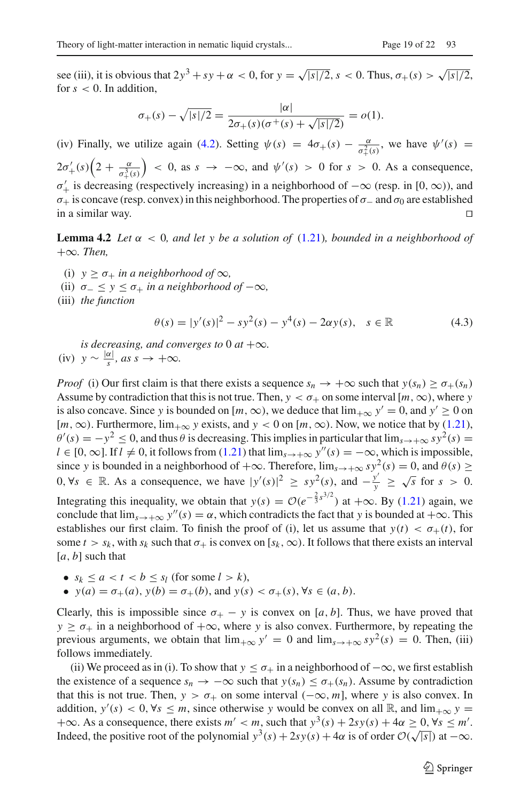see (iii), it is obvious that  $2y^3 + sy + \alpha < 0$ , for  $y = \sqrt{|s|/2}$ ,  $s < 0$ . Thus,  $\sigma_{+}(s) > \sqrt{|s|/2}$ , for  $s < 0$ . In addition,

$$
\sigma_{+}(s) - \sqrt{|s|/2} = \frac{|\alpha|}{2\sigma_{+}(s)(\sigma^{+}(s) + \sqrt{|s|/2})} = o(1).
$$

(iv) Finally, we utilize again [\(4.2\)](#page-17-1). Setting  $\psi(s) = 4\sigma_{+}(s) - \frac{\alpha}{\sigma_{+}^{2}(s)}$ , we have  $\psi'(s) =$  $+\frac{2}{3}(s)$  $2\sigma'_{+}(s)\left(2+\frac{\alpha}{\sigma_{+}^{3}(s)}\right)$  $\left( \begin{array}{cccc} 0, & \text{as} & s \rightarrow -\infty, & \text{and} & \psi'(s) > 0 & \text{for} & s > 0. \end{array} \right)$  As a consequence,  $\sigma'_{+}$  is decreasing (respectively increasing) in a neighborhood of  $-\infty$  (resp. in [0,  $\infty$ )), and  $σ_+$  is concave (resp. convex) in this neighborhood. The properties of  $σ_$  and  $σ_0$  are established in a similar way.  $□$ in a similar way.

<span id="page-18-0"></span>**Lemma 4.2** *Let*  $\alpha$  < 0*, and let*  $\gamma$  *be a solution of* (1.21*), bounded in a neighborhood of* +∞*. Then,*

(i)  $y \ge \sigma_+$  *in a neighborhood of*  $\infty$ *,* 

(ii)  $\sigma_{-} \leq y \leq \sigma_{+}$  *in a neighborhood of*  $-\infty$ *,* 

(iii) *the function*

$$
\theta(s) = |y'(s)|^2 - s y^2(s) - y^4(s) - 2\alpha y(s), \quad s \in \mathbb{R}
$$
\n(4.3)

*is decreasing, and converges to* 0  $at +\infty$ *.*  $(iv)$  *y* ~  $\frac{|\alpha|}{s}$ *, as s* →  $+\infty$ *.* 

*Proof* (i) Our first claim is that there exists a sequence  $s_n \to +\infty$  such that  $y(s_n) \ge \sigma_+(s_n)$ Assume by contradiction that this is not true. Then,  $y < \sigma_+$  on some interval  $[m, \infty)$ , where *y* is also concave. Since *y* is bounded on  $[m, \infty)$ , we deduce that  $\lim_{x \to \infty} y' = 0$ , and  $y' \ge 0$  on  $[m, \infty)$ . Furthermore,  $\lim_{+\infty}$  *y* exists, and  $y < 0$  on  $[m, \infty)$ . Now, we notice that by [\(1.21\)](#page-6-3),  $\theta'(s) = -y^2 \le 0$ , and thus  $\theta$  is decreasing. This implies in particular that  $\lim_{s \to +\infty} s y^2(s) =$ *l* ∈ [0, ∞]. If  $l \neq 0$ , it follows from [\(1.21\)](#page-6-3) that  $\lim_{s \to +\infty} y''(s) = -\infty$ , which is impossible, since *y* is bounded in a neighborhood of  $+\infty$ . Therefore,  $\lim_{s\to+\infty} sy^2(s) = 0$ , and  $\theta(s) \ge$ 0,  $\forall s \in \mathbb{R}$ . As a consequence, we have  $|y'(s)|^2 \geq sy^2(s)$ , and  $-\frac{y'}{y} \geq \sqrt{s}$  for  $s > 0$ . Integrating this inequality, we obtain that  $y(s) = O(e^{-\frac{2}{3}s^{3/2}})$  at  $+\infty$ . By [\(1.21\)](#page-6-3) again, we conclude that  $\lim_{s\to+\infty} y''(s) = \alpha$ , which contradicts the fact that *y* is bounded at  $+\infty$ . This establishes our first claim. To finish the proof of (i), let us assume that  $y(t) < \sigma_{+}(t)$ , for some  $t > s_k$ , with  $s_k$  such that  $\sigma_+$  is convex on [ $s_k, \infty$ ). It follows that there exists an interval [*a*, *b*] such that

• 
$$
s_k \le a < t < b \le s_l \text{ (for some } l > k),
$$

•  $y(a) = \sigma_+(a)$ ,  $y(b) = \sigma_+(b)$ , and  $y(s) < \sigma_+(s)$ ,  $\forall s \in (a, b)$ .

Clearly, this is impossible since  $\sigma_+ - y$  is convex on [a, b]. Thus, we have proved that  $y \ge \sigma_+$  in a neighborhood of  $+\infty$ , where *y* is also convex. Furthermore, by repeating the previous arguments, we obtain that  $\lim_{x \to \infty} y' = 0$  and  $\lim_{s \to \infty} s y^2(s) = 0$ . Then, (iii) follows immediately.

(ii) We proceed as in (i). To show that  $y \leq \sigma_+$  in a neighborhood of  $-\infty$ , we first establish the existence of a sequence  $s_n \to -\infty$  such that  $y(s_n) \leq \sigma_+(s_n)$ . Assume by contradiction that this is not true. Then,  $y > \sigma_+$  on some interval  $(-\infty, m]$ , where *y* is also convex. In addition,  $y'(s) < 0$ ,  $\forall s \leq m$ , since otherwise *y* would be convex on all  $\mathbb{R}$ , and  $\lim_{x \to \infty} y =$  $+\infty$ . As a consequence, there exists  $m' < m$ , such that  $y^3(s) + 2sy(s) + 4\alpha \ge 0$ ,  $\forall s \le m'$ . Indeed, the positive root of the polynomial  $y^3(s) + 2sy(s) + 4\alpha$  is of order  $\mathcal{O}(\sqrt{|s|})$  at  $-\infty$ .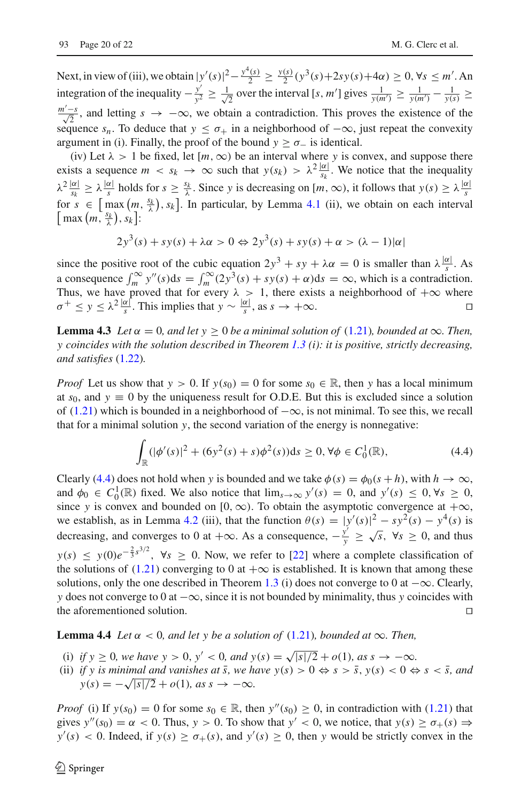Next, in view of (iii), we obtain  $|y'(s)|^2 - \frac{y^4(s)}{2} \ge \frac{y(s)}{2}(y^3(s) + 2sy(s) + 4\alpha) \ge 0$ ,  $\forall s \le m'$ . An integration of the inequality  $-\frac{y'}{y^2} \ge \frac{1}{\sqrt{2}}$  over the interval [*s*, *m*<sup>1</sup>] gives  $\frac{1}{y(m')} \ge \frac{1}{y(m')} - \frac{1}{y(s)} \ge$  $\frac{m'-s}{\sqrt{2}}$ , and letting *s* → −∞, we obtain a contradiction. This proves the existence of the sequence  $s_n$ . To deduce that  $y \leq \sigma_+$  in a neighborhood of  $-\infty$ , just repeat the convexity argument in (i). Finally, the proof of the bound  $y \ge \sigma_-$  is identical.

(iv) Let  $\lambda > 1$  be fixed, let  $[m, \infty)$  be an interval where *y* is convex, and suppose there exists a sequence  $m < s_k \to \infty$  such that  $y(s_k) > \lambda^2 \frac{|\alpha|}{s_k}$ . We notice that the inequality  $\lambda^2 \frac{|\alpha|}{s_k} \ge \lambda \frac{|\alpha|}{s}$  holds for  $s \ge \frac{s_k}{\lambda}$ . Since *y* is decreasing on  $[m, \infty)$ , it follows that  $y(s) \ge \lambda \frac{|\alpha|}{s}$ for  $s \in [\max(m, \frac{s_k}{\lambda}), s_k]$ . In particular, by Lemma [4.1](#page-17-2) (ii), we obtain on each interval  $\left[\max\left(m,\frac{s_k}{\lambda}\right), s_k\right]$ :

$$
2y3(s) + sy(s) + \lambda \alpha > 0 \Leftrightarrow 2y3(s) + sy(s) + \alpha > (\lambda - 1)|\alpha|
$$

since the positive root of the cubic equation  $2y^3 + sy + \lambda \alpha = 0$  is smaller than  $\lambda \frac{|\alpha|}{s}$ . As a consequence  $\int_{m}^{\infty} y''(s)ds = \int_{m}^{\infty} (2y^3(s) + sy(s) + \alpha)ds = \infty$ , which is a contradiction. Thus, we have proved that for every  $\lambda > 1$ , there exists a neighborhood of  $+\infty$  where  $\sigma^+ \leq y \leq \lambda^2 \frac{|\alpha|}{s}$ . This implies that  $y \sim \frac{|\alpha|}{s}$ , as  $s \to +\infty$ .

<span id="page-19-0"></span>**Lemma 4.3** *Let*  $\alpha = 0$ *, and let*  $y \ge 0$  *be a minimal solution of* [\(1.21\)](#page-6-3)*, bounded at*  $\infty$ *. Then, y coincides with the solution described in Theorem [1.3](#page-7-1) (i): it is positive, strictly decreasing, and satisfies* [\(1.22\)](#page-7-4)*.*

*Proof* Let us show that  $y > 0$ . If  $y(s_0) = 0$  for some  $s_0 \in \mathbb{R}$ , then *y* has a local minimum at  $s_0$ , and  $y \equiv 0$  by the uniqueness result for O.D.E. But this is excluded since a solution of [\(1.21\)](#page-6-3) which is bounded in a neighborhood of  $-\infty$ , is not minimal. To see this, we recall that for a minimal solution *y*, the second variation of the energy is nonnegative:

<span id="page-19-2"></span>
$$
\int_{\mathbb{R}} (|\phi'(s)|^2 + (6y^2(s) + s)\phi^2(s))ds \ge 0, \forall \phi \in C_0^1(\mathbb{R}),
$$
\n(4.4)

Clearly [\(4.4\)](#page-19-2) does not hold when *y* is bounded and we take  $\phi(s) = \phi_0(s + h)$ , with  $h \to \infty$ , and  $\phi_0 \in C_0^1(\mathbb{R})$  fixed. We also notice that  $\lim_{s\to\infty} y'(s) = 0$ , and  $y'(s) \leq 0, \forall s \geq 0$ , since *y* is convex and bounded on  $[0, \infty)$ . To obtain the asymptotic convergence at  $+\infty$ , we establish, as in Lemma [4.2](#page-18-0) (iii), that the function  $\theta(s) = |y'(s)|^2 - sy^2(s) - y^4(s)$  is decreasing, and converges to 0 at  $+\infty$ . As a consequence,  $-\frac{y'}{y} \ge \sqrt{s}$ ,  $\forall s \ge 0$ , and thus  $y(s) \leq y(0)e^{-\frac{2}{3}s^{3/2}}$ ,  $\forall s \geq 0$ . Now, we refer to [\[22\]](#page-21-1) where a complete classification of the solutions of [\(1.21\)](#page-6-3) converging to 0 at  $+\infty$  is established. It is known that among these solutions, only the one described in Theorem [1.3](#page-7-1) (i) does not converge to 0 at  $-\infty$ . Clearly, *y* does not converge to 0 at  $-\infty$ , since it is not bounded by minimality, thus *y* coincides with the aforementioned solution. the aforementioned solution.

<span id="page-19-1"></span>**Lemma 4.4** *Let*  $\alpha < 0$ *, and let* y *be a solution of* [\(1.21\)](#page-6-3)*, bounded at*  $\infty$ *. Then,* 

- (i) *if*  $y \ge 0$ *, we have*  $y > 0$ *,*  $y' < 0$ *, and*  $y(s) = \sqrt{|s|/2} + o(1)$ *, as*  $s \to -\infty$ *.*
- (ii) *if y is minimal and vanishes at*  $\bar{s}$ , we have  $y(s) > 0 \Leftrightarrow s > \bar{s}$ ,  $y(s) < 0 \Leftrightarrow s < \bar{s}$ , and  $y(s) = -\sqrt{|s|/2} + o(1)$ *, as s*  $\rightarrow -\infty$ *.*

*Proof* (i) If  $y(s_0) = 0$  for some  $s_0 \in \mathbb{R}$ , then  $y''(s_0) \ge 0$ , in contradiction with [\(1.21\)](#page-6-3) that gives  $y''(s_0) = \alpha < 0$ . Thus,  $y > 0$ . To show that  $y' < 0$ , we notice, that  $y(s) \ge \sigma_+(s) \Rightarrow$  $y'(s) < 0$ . Indeed, if  $y(s) \ge \sigma_+(s)$ , and  $y'(s) \ge 0$ , then *y* would be strictly convex in the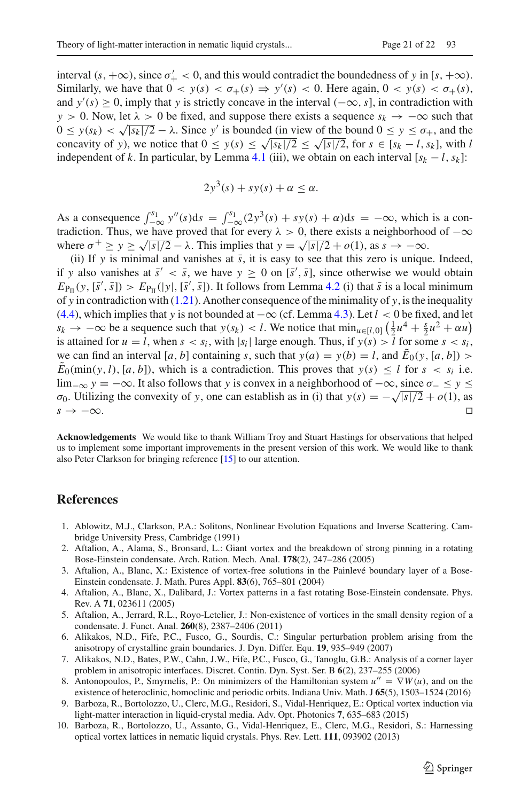interval  $(s, +\infty)$ , since  $\sigma'_+ < 0$ , and this would contradict the boundedness of *y* in  $[s, +\infty)$ . Similarly, we have that  $0 < y(s) < \sigma_+(s) \Rightarrow y'(s) < 0$ . Here again,  $0 < y(s) < \sigma_+(s)$ , and  $y'(s) \ge 0$ , imply that *y* is strictly concave in the interval  $(-\infty, s]$ , in contradiction with *y* > 0. Now, let  $\lambda$  > 0 be fixed, and suppose there exists a sequence  $s_k \rightarrow -\infty$  such that  $0 \le y(s_k) \le \sqrt{|s_k|/2} - \lambda$ . Since y' is bounded (in view of the bound  $0 \le y \le \sigma_{+}$ , and the concavity of *y*), we notice that  $0 \le y(s) \le \sqrt{|s_k|/2} \le \sqrt{|s|/2}$ , for  $s \in [s_k - l, s_k]$ , with *l* independent of *k*. In particular, by Lemma [4.1](#page-17-2) (iii), we obtain on each interval  $[s_k - l, s_k]$ :

$$
2y^3(s) + sy(s) + \alpha \leq \alpha.
$$

As a consequence  $\int_{-\infty}^{s_1} y''(s)ds = \int_{-\infty}^{s_1} (2y^3(s) + sy(s) + \alpha)ds = -\infty$ , which is a con-<br>testistics. These we have ground that for some is a contractive positive development tradiction. Thus, we have proved that for every  $\lambda > 0$ , there exists a neighborhood of  $-\infty$ where  $\sigma^+ \ge y \ge \sqrt{|s|/2} - \lambda$ . This implies that  $y = \sqrt{|s|/2} + o(1)$ , as  $s \to -\infty$ .

(ii) If *y* is minimal and vanishes at  $\bar{s}$ , it is easy to see that this zero is unique. Indeed, if *y* also vanishes at  $\bar{s}' < \bar{s}$ , we have  $y \ge 0$  on  $[\bar{s}', \bar{s}]$ , since otherwise we would obtain  $E_{\rm PI}(\mathbf{y},\vec{s}',\vec{s})$  >  $E_{\rm PI}(|\mathbf{y}|,\vec{s}',\vec{s})$ . It follows from Lemma [4.2](#page-18-0) (i) that  $\vec{s}$  is a local minimum of *y* in contradiction with [\(1.21\)](#page-6-3). Another consequence of the minimality of *y*, is the inequality [\(4.4\)](#page-19-2), which implies that *y* is not bounded at −∞ (cf. Lemma [4.3\)](#page-19-0). Let *l* < 0 be fixed, and let  $s_k \to -\infty$  be a sequence such that  $y(s_k) < l$ . We notice that  $\min_{u \in [l,0]} \left(\frac{1}{2}u^4 + \frac{s}{2}u^2 + \alpha u\right)$ is attained for  $u = l$ , when  $s < s_i$ , with  $|s_i|$  large enough. Thus, if  $y(s) > l$  for some  $s < s_i$ , we can find an interval [*a*, *b*] containing *s*, such that  $y(a) = y(b) = l$ , and  $E_0(y, [a, b])$  >  $\tilde{E}_0(\min(y, l), [a, b])$ , which is a contradiction. This proves that  $y(s) \leq l$  for  $s < s_i$  i.e.  $\lim_{-\infty}$  *y* =  $-\infty$ . It also follows that *y* is convex in a neighborhood of  $-\infty$ , since  $\sigma$   $\leq$  *y*  $\leq$ *σ*<sub>0</sub>. Utilizing the convexity of *y*, one can establish as in (i) that *y*(*s*) = −√|*s*|/2 + *o*(1), as *s* → −∞.  $s \rightarrow -\infty$ .

**Acknowledgements** We would like to thank William Troy and Stuart Hastings for observations that helped us to implement some important improvements in the present version of this work. We would like to thank also Peter Clarkson for bringing reference [\[15\]](#page-21-0) to our attention.

## **References**

- <span id="page-20-7"></span>1. Ablowitz, M.J., Clarkson, P.A.: Solitons, Nonlinear Evolution Equations and Inverse Scattering. Cambridge University Press, Cambridge (1991)
- <span id="page-20-3"></span>2. Aftalion, A., Alama, S., Bronsard, L.: Giant vortex and the breakdown of strong pinning in a rotating Bose-Einstein condensate. Arch. Ration. Mech. Anal. **178**(2), 247–286 (2005)
- <span id="page-20-4"></span>3. Aftalion, A., Blanc, X.: Existence of vortex-free solutions in the Painlevé boundary layer of a Bose-Einstein condensate. J. Math. Pures Appl. **83**(6), 765–801 (2004)
- <span id="page-20-2"></span>4. Aftalion, A., Blanc, X., Dalibard, J.: Vortex patterns in a fast rotating Bose-Einstein condensate. Phys. Rev. A **71**, 023611 (2005)
- <span id="page-20-1"></span>5. Aftalion, A., Jerrard, R.L., Royo-Letelier, J.: Non-existence of vortices in the small density region of a condensate. J. Funct. Anal. **260**(8), 2387–2406 (2011)
- <span id="page-20-5"></span>6. Alikakos, N.D., Fife, P.C., Fusco, G., Sourdis, C.: Singular perturbation problem arising from the anisotropy of crystalline grain boundaries. J. Dyn. Differ. Equ. **19**, 935–949 (2007)
- <span id="page-20-6"></span>7. Alikakos, N.D., Bates, P.W., Cahn, J.W., Fife, P.C., Fusco, G., Tanoglu, G.B.: Analysis of a corner layer problem in anisotropic interfaces. Discret. Contin. Dyn. Syst. Ser. B **6**(2), 237–255 (2006)
- <span id="page-20-8"></span>8. Antonopoulos, P., Smyrnelis, P.: On minimizers of the Hamiltonian system  $u'' = \nabla W(u)$ , and on the existence of heteroclinic, homoclinic and periodic orbits. Indiana Univ. Math. J **65**(5), 1503–1524 (2016)
- <span id="page-20-0"></span>9. Barboza, R., Bortolozzo, U., Clerc, M.G., Residori, S., Vidal-Henriquez, E.: Optical vortex induction via light-matter interaction in liquid-crystal media. Adv. Opt. Photonics **7**, 635–683 (2015)
- 10. Barboza, R., Bortolozzo, U., Assanto, G., Vidal-Henriquez, E., Clerc, M.G., Residori, S.: Harnessing optical vortex lattices in nematic liquid crystals. Phys. Rev. Lett. **111**, 093902 (2013)